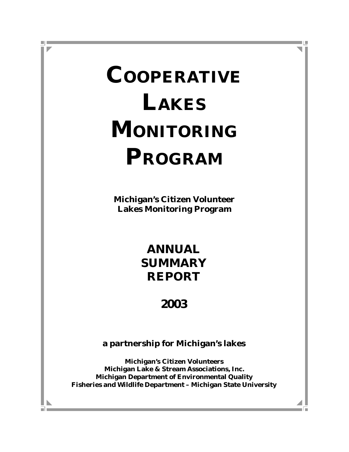# **COOPERATIVE LAKES MONITORING PROGRAM**

**Michigan's Citizen Volunteer Lakes Monitoring Program**

> **ANNUAL SUMMARY REPORT**

# **2003**

**a partnership for Michigan's lakes**

**Michigan's Citizen Volunteers Michigan Lake & Stream Associations, Inc. Michigan Department of Environmental Quality Fisheries and Wildlife Department – Michigan State University**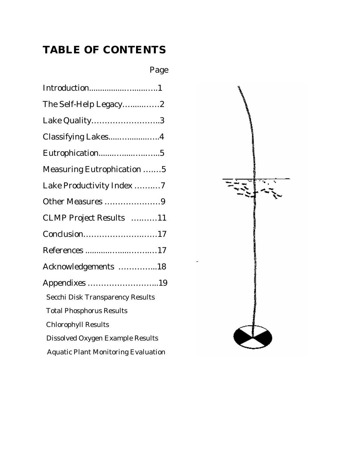# **TABLE OF CONTENTS**

# Page

| Introduction1                              |
|--------------------------------------------|
| The Self-Help Legacy2                      |
| Lake Quality3                              |
| Classifying Lakes4                         |
| Eutrophication5                            |
| Measuring Eutrophication 5                 |
| Lake Productivity Index 7                  |
| Other Measures 9                           |
| CLMP Project Results 11                    |
| Conclusion17                               |
| References 17                              |
| Acknowledgements 18                        |
| Appendixes 19                              |
| <b>Secchi Disk Transparency Results</b>    |
| <b>Total Phosphorus Results</b>            |
| <b>Chlorophyll Results</b>                 |
| <b>Dissolved Oxygen Example Results</b>    |
| <b>Aquatic Plant Monitoring Evaluation</b> |

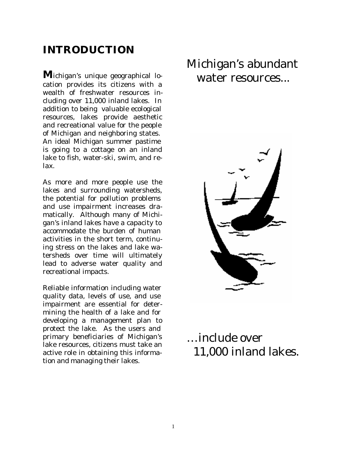## **INTRODUCTION**

**M**ichigan's unique geographical location provides its citizens with a wealth of freshwater resources including over 11,000 inland lakes. In addition to being valuable ecological resources, lakes provide aesthetic and recreational value for the people of Michigan and neighboring states. An ideal Michigan summer pastime is going to a cottage on an inland lake to fish, water-ski, swim, and relax.

As more and more people use the lakes and surrounding watersheds, the potential for pollution problems and use impairment increases dramatically. Although many of Michigan's inland lakes have a capacity to accommodate the burden of human activities in the short term, continuing stress on the lakes and lake watersheds over time will ultimately lead to adverse water quality and recreational impacts.

Reliable information including water quality data, levels of use, and use impairment are essential for determining the health of a lake and for developing a management plan to protect the lake. As the users and primary beneficiaries of Michigan's lake resources, citizens must take an active role in obtaining this information and managing their lakes.

# Michigan's abundant water resources...



# …include over 11,000 inland lakes.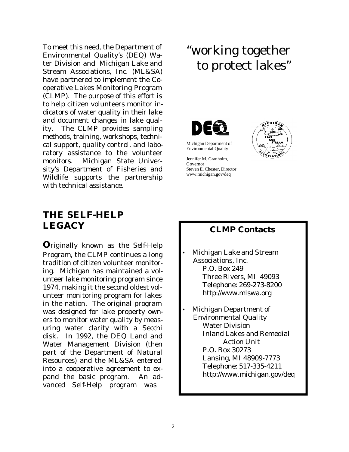To meet this need, the Department of Environmental Quality's (DEQ) Water Division and Michigan Lake and Stream Associations, Inc. (ML&SA) have partnered to implement the Cooperative Lakes Monitoring Program (CLMP). The purpose of this effort is to help citizen volunteers monitor indicators of water quality in their lake and document changes in lake quality. The CLMP provides sampling methods, training, workshops, technical support, quality control, and laboratory assistance to the volunteer monitors. Michigan State University's Department of Fisheries and Wildlife supports the partnership with technical assistance.

### **THE SELF-HELP LEGACY**

**O**riginally known as the Self-Help Program, the CLMP continues a long tradition of citizen volunteer monitoring. Michigan has maintained a volunteer lake monitoring program since 1974, making it the second oldest volunteer monitoring program for lakes in the nation. The original program was designed for lake property owners to monitor water quality by measuring water clarity with a Secchi disk. In 1992, the DEQ Land and Water Management Division (then part of the Department of Natural Resources) and the ML&SA entered into a cooperative agreement to expand the basic program. An advanced Self-Help program was

# "working together to protect lakes"



Michigan Department of Environmental Quality

Jennifer M. Granholm, Governor Steven E. Chester, Director www.michigan.gov/deq



### **CLMP Contacts**

- Michigan Lake and Stream Associations, Inc. P.O. Box 249 Three Rivers, MI 49093 Telephone: 269-273-8200 http://www.mlswa.org
- Michigan Department of Environmental Quality Water Division Inland Lakes and Remedial Action Unit P.O. Box 30273 Lansing, MI 48909-7773 Telephone: 517-335-4211 http://www.michigan.gov/deq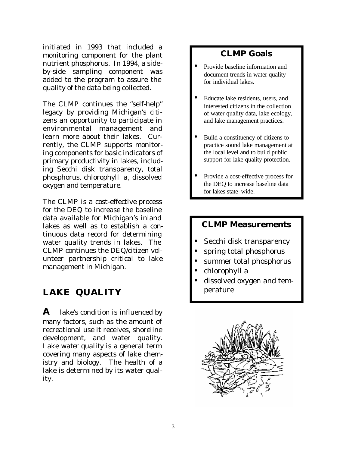initiated in 1993 that included a monitoring component for the plant nutrient phosphorus. In 1994, a sideby-side sampling component was added to the program to assure the quality of the data being collected.

The CLMP continues the "self-help" legacy by providing Michigan's citizens an opportunity to participate in environmental management and learn more about their lakes. Currently, the CLMP supports monitoring components for basic indicators of primary productivity in lakes, including Secchi disk transparency, total phosphorus, chlorophyll *a*, dissolved oxygen and temperature.

The CLMP is a cost-effective process for the DEQ to increase the baseline data available for Michigan's inland lakes as well as to establish a continuous data record for determining water quality trends in lakes. The CLMP continues the DEQ/citizen volunteer partnership critical to lake management in Michigan.

### **LAKE QUALITY**

**A** lake's condition is influenced by many factors, such as the amount of recreational use it receives, shoreline development, and water quality. Lake *water quality* is a general term covering many aspects of lake chemistry and biology. The health of a lake is determined by its water quality.

### **CLMP Goals**

- Provide baseline information and document trends in water quality for individual lakes.
- Educate lake residents, users, and interested citizens in the collection of water quality data, lake ecology, and lake management practices.
- Build a constituency of citizens to practice sound lake management at the local level and to build public support for lake quality protection.
- Provide a cost-effective process for the DEQ to increase baseline data for lakes state -wide.

#### **CLMP Measurements**

- Secchi disk transparency
- spring total phosphorus
- summer total phosphorus
- chlorophyll *a*
- dissolved oxygen and temperature

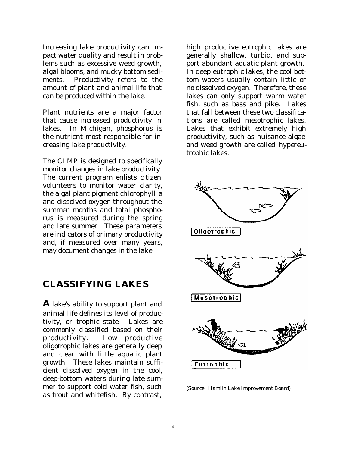Increasing lake productivity can impact water quality and result in problems such as excessive weed growth, algal blooms, and mucky bottom sediments. *Productivity* refers to the amount of plant and animal life that can be produced within the lake.

Plant *nutrients* are a major factor that cause increased productivity in lakes. In Michigan, *phosphorus* is the nutrient most responsible for increasing lake productivity.

The CLMP is designed to specifically monitor changes in lake productivity. The current program enlists citizen volunteers to monitor water clarity, the algal plant pigment chlorophyll *a* and dissolved oxygen throughout the summer months and total phosphorus is measured during the spring and late summer. These parameters are indicators of primary productivity and, if measured over many years, may document changes in the lake.

### **CLASSIFYING LAKES**

**A** lake's ability to support plant and animal life defines its level of productivity, or *trophic state*. Lakes are commonly classified based on their productivity. Low productive *oligotrophic* lakes are generally deep and clear with little aquatic plant growth. These lakes maintain sufficient *dissolved oxygen* in the cool, deep-bottom waters during late summer to support cold water fish, such as trout and whitefish. By contrast,

high productive *eutrophic* lakes are generally shallow, turbid, and support abundant aquatic plant growth. In deep eutrophic lakes, the cool bottom waters usually contain little or no dissolved oxygen. Therefore, these lakes can only support warm water fish, such as bass and pike. Lakes that fall between these two classifications are called *mesotrophic* lakes. Lakes that exhibit extremely high productivity, such as nuisance algae and weed growth are called *hypereutrophic* lakes.



(Source: Hamlin Lake Improvement Board)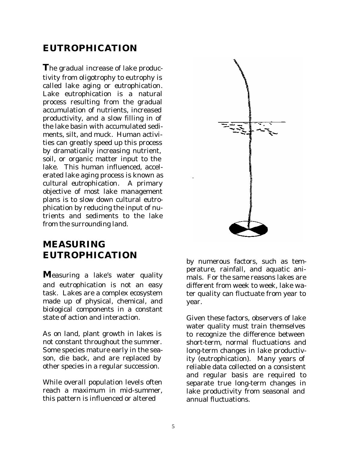### **EUTROPHICATION**

**T**he gradual increase of lake productivity from oligotrophy to eutrophy is called lake aging or *eutrophication*. Lake eutrophication is a natural process resulting from the gradual accumulation of nutrients, increased productivity, and a slow filling in of the lake basin with accumulated sediments, silt, and muck. Human activities can greatly speed up this process by dramatically increasing nutrient, soil, or organic matter input to the lake. This human influenced, accelerated lake aging process is known as *cultural eutrophication*. A primary objective of most lake management plans is to slow down cultural eutrophication by reducing the input of nutrients and sediments to the lake from the surrounding land.

### **MEASURING EUTROPHICATION**

**M**easuring a lake's water quality and eutrophication is not an easy task. Lakes are a complex ecosystem made up of physical, chemical, and biological components in a constant state of action and interaction.

As on land, plant growth in lakes is not constant throughout the summer. Some species mature early in the season, die back, and are replaced by other species in a regular succession.

While overall population levels often reach a maximum in mid-summer, this pattern is influenced or altered



by numerous factors, such as temperature, rainfall, and aquatic animals. For the same reasons lakes are different from week to week, lake water quality can fluctuate from year to year.

Given these factors, observers of lake water quality must train themselves to recognize the difference between short-term, normal fluctuations and long-term changes in lake productivity (eutrophication). Many years of reliable data collected on a consistent and regular basis are required to separate true long-term changes in lake productivity from seasonal and annual fluctuations.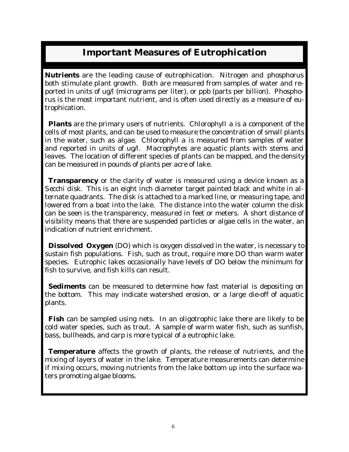### **Important Measures of Eutrophication**

**Nutrients** are the leading cause of eutrophication. Nitrogen and *phosphorus* both stimulate plant growth. Both are measured from samples of water and reported in units of ug/l (micrograms per liter), or ppb (parts per billion). *Phosphorus* is the most important nutrient, and is often used directly as a measure of eutrophication.

 **Plants** are the primary users of nutrients. *Chlorophyll a* is a component of the cells of most plants, and can be used to measure the concentration of small plants in the water, such as algae. *Chlorophyll a* is measured from samples of water and reported in units of ug/l. Macrophytes are aquatic plants with stems and leaves. The location of different species of plants can be mapped, and the density can be measured in pounds of plants per acre of lake.

**Transparency** or the clarity of water is measured using a device known as a *Secchi disk*. This is an eight inch diameter target painted black and white in alternate quadrants. The disk is attached to a marked line, or measuring tape, and lowered from a boat into the lake. The distance into the water column the disk can be seen is the transparency, measured in feet or meters. A short distance of visibility means that there are suspended particles or algae cells in the water, an indication of nutrient enrichment.

**Dissolved Oxygen** (DO) which is oxygen dissolved in the water, is necessary to sustain fish populations. Fish, such as trout, require more DO than warm water species. Eutrophic lakes occasionally have levels of DO below the minimum for fish to survive, and fish kills can result.

**Sediments** can be measured to determine how fast material is depositing on the bottom. This may indicate watershed erosion, or a large die-off of aquatic plants.

**Fish** can be sampled using nets. In an oligotrophic lake there are likely to be cold water species, such as trout. A sample of warm water fish, such as sunfish, bass, bullheads, and carp is more typical of a eutrophic lake.

**Temperature** affects the growth of plants, the release of nutrients, and the mixing of layers of water in the lake. Temperature measurements can determine if mixing occurs, moving nutrients from the lake bottom up into the surface waters promoting algae blooms.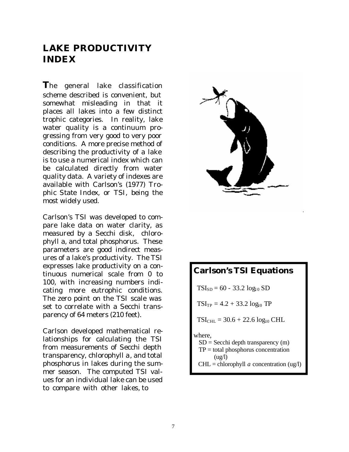### **LAKE PRODUCTIVITY INDEX**

**T**he general lake classification scheme described is convenient, but somewhat misleading in that it places all lakes into a few distinct trophic categories. In reality, lake water quality is a continuum progressing from very good to very poor conditions. A more precise method of describing the productivity of a lake is to use a numerical index which can be calculated directly from water quality data. A variety of indexes are available with Carlson's (1977) *Trophic State Index*, or TSI, being the most widely used.

Carlson's TSI was developed to compare lake data on water clarity, as measured by a Secchi disk, chlorophyll *a,* and total phosphorus. These parameters are good indirect measures of a lake's productivity. The TSI expresses lake productivity on a continuous numerical scale from 0 to 100, with increasing numbers indicating more eutrophic conditions. The zero point on the TSI scale was set to correlate with a Secchi transparency of 64 meters (210 feet).

Carlson developed mathematical relationships for calculating the TSI from measurements of Secchi depth transparency, chlorophyll *a*, and total phosphorus in lakes during the summer season. The computed TSI values for an individual lake can be used to compare with other lakes, to



### **Carlson's TSI Equations**

 $TSI_{SD} = 60 - 33.2 \log_{10} SD$ 

 $TSI_{TP} = 4.2 + 33.2 \log_{10} TP$ 

 $TSI<sub>CHL</sub> = 30.6 + 22.6 log<sub>10</sub> CHL$ 

where,

- $SD = Secchi$  depth transparency (m)  $TP = total$  phosphorus concentration
- $(ue/l)$  $CHL =$ chlorophyll *a* concentration (ug/l)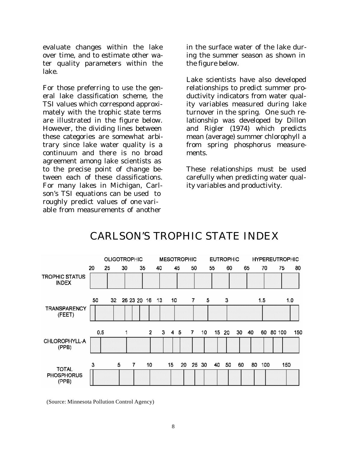evaluate changes within the lake over time, and to estimate other water quality parameters within the lake.

For those preferring to use the general lake classification scheme, the TSI values which correspond approximately with the trophic state terms are illustrated in the figure below. However, the dividing lines between these categories are somewhat arbitrary since lake water quality is a continuum and there is no broad agreement among lake scientists as to the precise point of change between each of these classifications. For many lakes in Michigan, Carlson's TSI equations can be used to roughly predict values of one variable from measurements of another

in the surface water of the lake during the summer season as shown in the figure below.

Lake scientists have also developed relationships to predict summer productivity indicators from water quality variables measured during lake turnover in the spring. One such relationship was developed by Dillon and Rigler (1974) which predicts mean (average) summer chlorophyll *a* from spring phosphorus measurements.

These relationships must be used carefully when predicting water quality variables and productivity.



### CARLSON'S TROPHIC STATE INDEX

(Source: Minnesota Pollution Control Agency)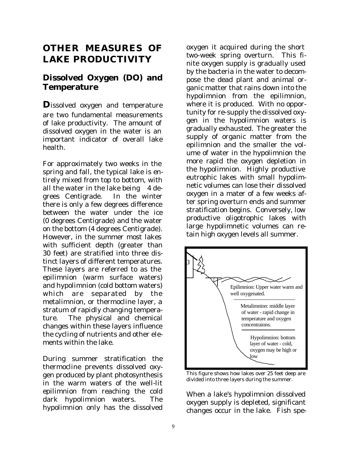### **OTHER MEASURES OF LAKE PRODUCTIVITY**

### **Dissolved Oxygen (DO) and Temperature**

**D**issolved oxygen and temperature are two fundamental measurements of lake productivity. The amount of dissolved oxygen in the water is an important indicator of overall lake health.

For approximately two weeks in the spring and fall, the typical lake is entirely mixed from top to bottom, with all the water in the lake being  $4$  degrees Centigrade. In the winter there is only a few degrees difference between the water under the ice (0 degrees Centigrade) and the water on the bottom (4 degrees Centigrade). However, in the summer most lakes with sufficient depth (greater than 30 feet) are stratified into three distinct layers of different temperatures. These layers are referred to as the epilimnion (warm surface waters) and hypolimnion (cold bottom waters) which are separated by the metalimnion, or thermocline layer, a stratum of rapidly changing temperature. The physical and chemical changes within these layers influence the cycling of nutrients and other elements within the lake.

During summer stratification the thermocline prevents dissolved oxygen produced by plant photosynthesis in the warm waters of the well-lit epilimnion from reaching the cold dark hypolimnion waters. The hypolimnion only has the dissolved

oxygen it acquired during the short two-week spring overturn. This finite oxygen supply is gradually used by the bacteria in the water to decompose the dead plant and animal organic matter that rains down into the hypolimnion from the epilimnion, where it is produced. With no opportunity for re-supply the dissolved oxygen in the hypolimnion waters is gradually exhausted. The greater the supply of organic matter from the epilimnion and the smaller the volume of water in the hypolimnion the more rapid the oxygen depletion in the hypolimnion. Highly productive eutrophic lakes with small hypolimnetic volumes can lose their dissolved oxygen in a mater of a few weeks after spring overturn ends and summer stratification begins. Conversely, low productive oligotrophic lakes with large hypolimnetic volumes can retain high oxygen levels all summer.



This figure shows how lakes over 25 feet deep are divided into three layers during the summer.

When a lake's hypolimnion dissolved oxygen supply is depleted, significant changes occur in the lake. Fish spe-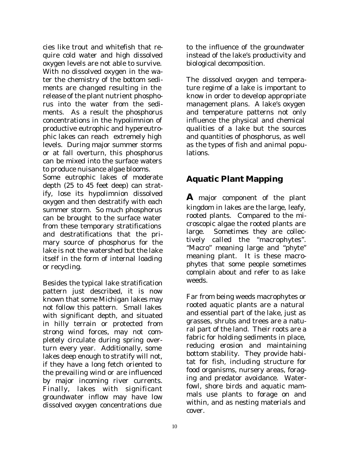cies like trout and whitefish that require cold water and high dissolved oxygen levels are not able to survive. With no dissolved oxygen in the water the chemistry of the bottom sediments are changed resulting in the release of the plant nutrient phosphorus into the water from the sediments. As a result the phosphorus concentrations in the hypolimnion of productive eutrophic and hypereutrophic lakes can reach extremely high levels. During major summer storms or at fall overturn, this phosphorus can be mixed into the surface waters to produce nuisance algae blooms.

Some eutrophic lakes of moderate depth (25 to 45 feet deep) can stratify, lose its hypolimnion dissolved oxygen and then destratify with each summer storm. So much phosphorus can be brought to the surface water from these temporary stratifications and destratifications that the primary source of phosphorus for the lake is not the watershed but the lake itself in the form of internal loading or recycling.

Besides the typical lake stratification pattern just described, it is now known that some Michigan lakes may not follow this pattern. Small lakes with significant depth, and situated in hilly terrain or protected from strong wind forces, may not completely circulate during spring overturn every year. Additionally, some lakes deep enough to stratify will not, if they have a long fetch oriented to the prevailing wind or are influenced by major incoming river currents. Finally, lakes with significant groundwater inflow may have low dissolved oxygen concentrations due

to the influence of the groundwater instead of the lake's productivity and biological decomposition.

The dissolved oxygen and temperature regime of a lake is important to know in order to develop appropriate management plans. A lake's oxygen and temperature patterns not only influence the physical and chemical qualities of a lake but the sources and quantities of phosphorus, as well as the types of fish and animal populations.

### **Aquatic Plant Mapping**

**A** major component of the plant kingdom in lakes are the large, leafy, rooted plants. Compared to the microscopic algae the rooted plants are large. Sometimes they are collectively called the "macrophytes". "Macro" meaning large and "phyte" meaning plant. It is these macrophytes that some people sometimes complain about and refer to as lake weeds.

Far from being weeds macrophytes or rooted aquatic plants are a natural and essential part of the lake, just as grasses, shrubs and trees are a natural part of the land. Their roots are a fabric for holding sediments in place, reducing erosion and maintaining bottom stability. They provide habitat for fish, including structure for food organisms, nursery areas, foraging and predator avoidance. Waterfowl, shore birds and aquatic mammals use plants to forage on and within, and as nesting materials and cover.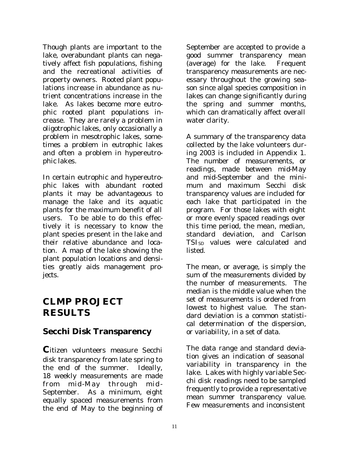Though plants are important to the lake, overabundant plants can negatively affect fish populations, fishing and the recreational activities of property owners. Rooted plant populations increase in abundance as nutrient concentrations increase in the lake. As lakes become more eutrophic rooted plant populations increase. They are rarely a problem in oligotrophic lakes, only occasionally a problem in mesotrophic lakes, sometimes a problem in eutrophic lakes and often a problem in hypereutrophic lakes.

In certain eutrophic and hypereutrophic lakes with abundant rooted plants it may be advantageous to manage the lake and its aquatic plants for the maximum benefit of all users. To be able to do this effectively it is necessary to know the plant species present in the lake and their relative abundance and location. A map of the lake showing the plant population locations and densities greatly aids management projects.

### **CLMP PROJECT RESULTS**

### **Secchi Disk Transparency**

**C**itizen volunteers measure Secchi disk transparency from late spring to the end of the summer. Ideally, 18 weekly measurements are made from mid-May through mid - September. As a minimum, eight equally spaced measurements from the end of May to the beginning of September are accepted to provide a good summer transparency mean (average) for the lake. Frequent transparency measurements are necessary throughout the growing season since algal species composition in lakes can change significantly during the spring and summer months, which can dramatically affect overall water clarity.

A summary of the transparency data collected by the lake volunteers during 2003 is included in Appendix 1. The number of measurements, or readings, made between mid-May and mid-September and the minimum and maximum Secchi disk transparency values are included for each lake that participated in the program. For those lakes with eight or more evenly spaced readings over this time period, the mean, median, standard deviation, and Carlson TSI<sub>SD</sub> values were calculated and listed.

The mean, or average, is simply the sum of the measurements divided by the number of measurements. The median is the middle value when the set of measurements is ordered from lowest to highest value. The standard deviation is a common statistical determination of the dispersion, or variability, in a set of data.

The data range and standard deviation gives an indication of seasonal variability in transparency in the lake. Lakes with highly variable Secchi disk readings need to be sampled frequently to provide a representative mean summer transparency value. Few measurements and inconsistent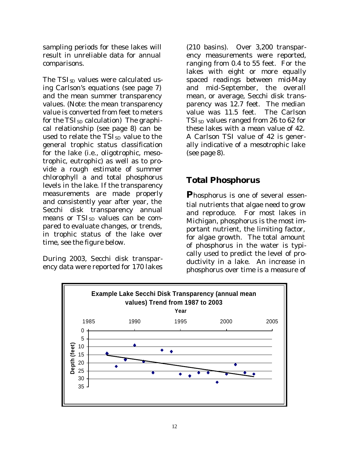sampling periods for these lakes will result in unreliable data for annual comparisons.

The TSI<sub>SD</sub> values were calculated using Carlson's equations (see page 7) and the mean summer transparency values. (Note: the mean transparency value is converted from feet to meters for the  $TSI<sub>SD</sub>$  calculation) The graphical relationship (see page 8) can be used to relate the TSI<sub>SD</sub> value to the general trophic status classification for the lake (i.e., oligotrophic, mesotrophic, eutrophic) as well as to provide a rough estimate of summer chlorophyll *a* and total phosphorus levels in the lake. If the transparency measurements are made properly and consistently year after year, the Secchi disk transparency annual means or TSI<sub>SD</sub> values can be compared to evaluate changes, or trends, in trophic status of the lake over time, see the figure below.

During 2003, Secchi disk transparency data were reported for 170 lakes

(210 basins). Over 3,200 transparency measurements were reported, ranging from 0.4 to 55 feet. For the lakes with eight or more equally spaced readings between mid-May and mid-September, the overall mean, or average, Secchi disk transparency was 12.7 feet. The median value was 11.5 feet. The Carlson  $TSI<sub>SD</sub>$  values ranged from 26 to 62 for these lakes with a mean value of 42. A Carlson TSI value of 42 is generally indicative of a mesotrophic lake (see page 8).

### **Total Phosphorus**

**P**hosphorus is one of several essential nutrients that algae need to grow and reproduce. For most lakes in Michigan, phosphorus is the most important nutrient, the limiting factor, for algae growth. The total amount of phosphorus in the water is typically used to predict the level of productivity in a lake. An increase in phosphorus over time is a measure of

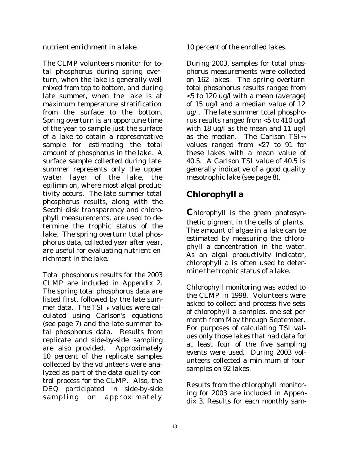nutrient enrichment in a lake.

The CLMP volunteers monitor for total phosphorus during spring overturn, when the lake is generally well mixed from top to bottom, and during late summer, when the lake is at maximum temperature stratification from the surface to the bottom. Spring overturn is an opportune time of the year to sample just the surface of a lake to obtain a representative sample for estimating the total amount of phosphorus in the lake. A surface sample collected during late summer represents only the upper water layer of the lake, the epilimnion, where most algal productivity occurs. The late summer total phosphorus results, along with the Secchi disk transparency and chlorophyll measurements, are used to determine the trophic status of the lake. The spring overturn total phosphorus data, collected year after year, are useful for evaluating nutrient enrichment in the lake.

Total phosphorus results for the 2003 CLMP are included in Appendix 2. The spring total phosphorus data are listed first, followed by the late summer data. The TSITP values were calculated using Carlson's equations (see page 7) and the late summer total phosphorus data. Results from replicate and side-by-side sampling are also provided. Approximately 10 percent of the replicate samples collected by the volunteers were analyzed as part of the data quality control process for the CLMP. Also, the DEQ participated in side-by-side sampling on approximately

10 percent of the enrolled lakes.

During 2003, samples for total phosphorus measurements were collected on 162 lakes. The spring overturn total phosphorus results ranged from <5 to 120 ug/l with a mean (average) of 15 ug/l and a median value of 12 ug/l. The late summer total phosphorus results ranged from <5 to 410 ug/l with 18 ug/l as the mean and 11 ug/l as the median. The Carlson  $TSI_{TP}$ values ranged from <27 to 91 for these lakes with a mean value of 40.5. A Carlson TSI value of 40.5 is generally indicative of a good quality mesotrophic lake (see page 8).

### **Chlorophyll** *a*

**C**hlorophyll is the green photosynthetic pigment in the cells of plants. The amount of algae in a lake can be estimated by measuring the chlorophyll *a* concentration in the water. As an algal productivity indicator, chlorophyll *a* is often used to determine the trophic status of a lake.

Chlorophyll monitoring was added to the CLMP in 1998. Volunteers were asked to collect and process five sets of chlorophyll *a* samples, one set per month from May through September. For purposes of calculating TSI values only those lakes that had data for at least four of the five sampling events were used. During 2003 volunteers collected a minimum of four samples on 92 lakes.

Results from the chlorophyll monitoring for 2003 are included in Appendix 3. Results for each monthly sam-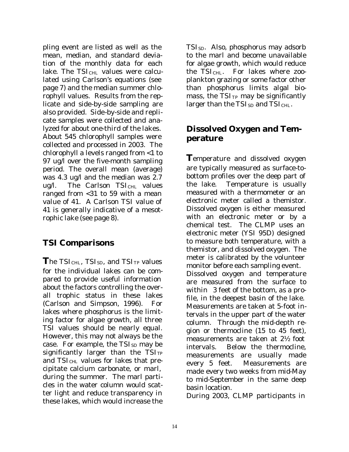pling event are listed as well as the mean, median, and standard deviation of the monthly data for each lake. The  $TSI<sub>CHL</sub>$  values were calculated using Carlson's equations (see page 7) and the median summer chlorophyll values. Results from the replicate and side-by-side sampling are also provided. Side-by-side and replicate samples were collected and analyzed for about one-third of the lakes. About 545 chlorophyll samples were collected and processed in 2003. The chlorophyll *a* levels ranged from <1 to 97 ug/l over the five-month sampling period. The overall mean (average) was 4.3 ug/l and the median was 2.7 ug/l. The Carlson TSI<sub>CHL</sub> values ranged from <31 to 59 with a mean value of 41. A Carlson TSI value of 41 is generally indicative of a mesotrophic lake (see page 8).

### **TSI Comparisons**

**The TSICHL, TSISD, and TSITP values** for the individual lakes can be compared to provide useful information about the factors controlling the overall trophic status in these lakes (Carlson and Simpson, 1996). For lakes where phosphorus is the limiting factor for algae growth, all three TSI values should be nearly equal. However, this may not always be the case. For example, the  $TSI_{SD}$  may be significantly larger than the  $TSI_{TP}$ and  $TSI_{\text{CHL}}$  values for lakes that precipitate calcium carbonate, or marl, during the summer. The marl particles in the water column would scatter light and reduce transparency in these lakes, which would increase the

 $TSI<sub>SD</sub>$ . Also, phosphorus may adsorb to the marl and become unavailable for algae growth, which would reduce the  $TSI<sub>CHL</sub>$ . For lakes where zooplankton grazing or some factor other than phosphorus limits algal biomass, the  $TSI<sub>TP</sub>$  may be significantly larger than the  $TSI_{SD}$  and  $TSI_{CHL}$ .

### **Dissolved Oxygen and Temperature**

**T**emperature and dissolved oxygen are typically measured as surface-tobottom profiles over the deep part of the lake. Temperature is usually measured with a thermometer or an electronic meter called a themistor. Dissolved oxygen is either measured with an electronic meter or by a chemical test. The CLMP uses an electronic meter (YSI 95D) designed to measure both temperature, with a themistor, and dissolved oxygen. The meter is calibrated by the volunteer monitor before each sampling event. Dissolved oxygen and temperature are measured from the surface to within 3 feet of the bottom, as a profile, in the deepest basin of the lake. Measurements are taken at 5-foot intervals in the upper part of the water column. Through the mid-depth region or thermocline (15 to 45 feet), measurements are taken at 2½ foot intervals. Below the thermocline, measurements are usually made every 5 feet. Measurements are made every two weeks from mid-May to mid-September in the same deep basin location.

During 2003, CLMP participants in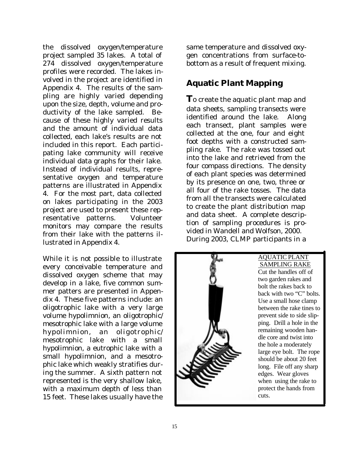the dissolved oxygen/temperature project sampled 35 lakes. A total of 274 dissolved oxygen/temperature profiles were recorded. The lakes involved in the project are identified in Appendix 4. The results of the sampling are highly varied depending upon the size, depth, volume and productivity of the lake sampled. Because of these highly varied results and the amount of individual data collected, each lake's results are not included in this report. Each participating lake community will receive individual data graphs for their lake. Instead of individual results, representative oxygen and temperature patterns are illustrated in Appendix 4. For the most part, data collected on lakes participating in the 2003 project are used to present these representative patterns. Volunteer monitors may compare the results from their lake with the patterns illustrated in Appendix 4.

While it is not possible to illustrate every conceivable temperature and dissolved oxygen scheme that may develop in a lake, five common summer patters are presented in Appendix 4. These five patterns include: an oligotrophic lake with a very large volume hypolimnion, an oligotrophic/ mesotrophic lake with a large volume hypolimnion, an oligotrophic/ mesotrophic lake with a small hypolimnion, a eutrophic lake with a small hypolimnion, and a mesotrophic lake which weakly stratifies during the summer. A sixth pattern not represented is the very shallow lake, with a maximum depth of less than 15 feet. These lakes usually have the

same temperature and dissolved oxygen concentrations from surface-tobottom as a result of frequent mixing.

### **Aquatic Plant Mapping**

**T**o create the aquatic plant map and data sheets, sampling transects were identified around the lake. Along each transect, plant samples were collected at the one, four and eight foot depths with a constructed sampling rake. The rake was tossed out into the lake and retrieved from the four compass directions. The density of each plant species was determined by its presence on one, two, three or all four of the rake tosses. The data from all the transects were calculated to create the plant distribution map and data sheet. A complete description of sampling procedures is provided in Wandell and Wolfson, 2000. During 2003, CLMP participants in a



AQUATIC PLANT

SAMPLING RAKE

Cut the handles off of two garden rakes and bolt the rakes back to back with two "C" bolts. Use a small hose clamp between the rake tines to prevent side to side slipping. Drill a hole in the remaining wooden handle core and twist into the hole a moderately large eye bolt. The rope should be about 20 feet long. File off any sharp edges. Wear gloves when using the rake to protect the hands from cuts.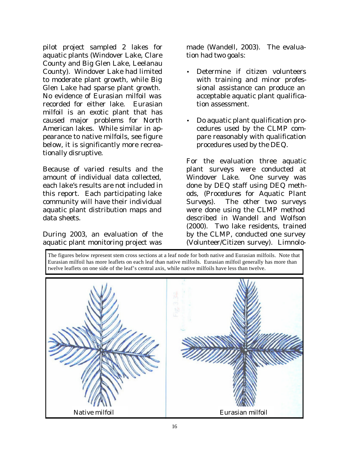pilot project sampled 2 lakes for aquatic plants (Windover Lake, Clare County and Big Glen Lake, Leelanau County). Windover Lake had limited to moderate plant growth, while Big Glen Lake had sparse plant growth. No evidence of Eurasian milfoil was recorded for either lake. Eurasian milfoil is an exotic plant that has caused major problems for North American lakes. While similar in appearance to native milfoils, see figure below, it is significantly more recreationally disruptive.

Because of varied results and the amount of individual data collected, each lake's results are not included in this report. Each participating lake community will have their individual aquatic plant distribution maps and data sheets.

During 2003, an evaluation of the aquatic plant monitoring project was

made (Wandell, 2003). The evaluation had two goals:

- Determine if citizen volunteers with training and minor professional assistance can produce an acceptable aquatic plant qualification assessment.
- Do aquatic plant qualification procedures used by the CLMP compare reasonably with qualification procedures used by the DEQ.

For the evaluation three aquatic plant surveys were conducted at Windover Lake. One survey was done by DEQ staff using DEQ methods, (*Procedures for Aquatic Plant Surveys*). The other two surveys were done using the CLMP method described in Wandell and Wolfson (2000). Two lake residents, trained by the CLMP, conducted one survey (Volunteer/Citizen survey). Limnolo-

The figures below represent stem cross sections at a leaf node for both native and Eurasian milfoils. Note that Eurasian milfoil has more leaflets on each leaf than native milfoils. Eurasian milfoil generally has more than twelve leaflets on one side of the leaf's central axis, while native milfoils have less than twelve.

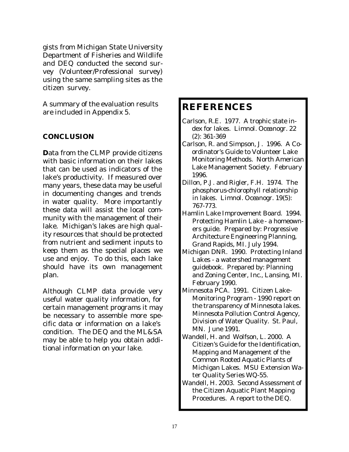gists from Michigan State University Department of Fisheries and Wildlife and DEQ conducted the second survey (Volunteer/Professional survey) using the same sampling sites as the citizen survey.

A summary of the evaluation results are included in Appendix 5.

#### **CONCLUSION**

**D**ata from the CLMP provide citizens with basic information on their lakes that can be used as indicators of the lake's productivity. If measured over many years, these data may be useful in documenting changes and trends in water quality. More importantly these data will assist the local community with the management of their lake. Michigan's lakes are high quality resources that should be protected from nutrient and sediment inputs to keep them as the special places we use and enjoy. To do this, each lake should have its own management plan.

Although CLMP data provide very useful water quality information, for certain management programs it may be necessary to assemble more specific data or information on a lake's condition. The DEQ and the ML&SA may be able to help you obtain additional information on your lake.

### **REFERENCES**

- Carlson, R.E. 1977. A trophic state index for lakes. *Limnol. Oceanogr. 22 (2):* 361-369
- Carlson, R. and Simpson, J. 1996. A Coordinator's Guide to Volunteer Lake Monitoring Methods. North American Lake Management Society. February 1996.
- Dillon, P.J. and Rigler, F.H. 1974. The phosphorus-chlorophyll relationship in lakes. *Limnol. Oceanogr. 19(5):*  767-773.
- Hamlin Lake Improvement Board. 1994. Protecting Hamlin Lake - a homeowners guide. Prepared by: Progressive Architecture Engineering Planning, Grand Rapids, MI. July 1994.
- Michigan DNR. 1990. Protecting Inland Lakes - a watershed management guidebook. Prepared by: Planning and Zoning Center, Inc., Lansing, MI. February 1990.
- Minnesota PCA. 1991. Citizen Lake-Monitoring Program - 1990 report on the transparency of Minnesota lakes. Minnesota Pollution Control Agency, Division of Water Quality. St. Paul, MN. June 1991.
- Wandell, H. and Wolfson, L. 2000. A Citizen's Guide for the Identification, Mapping and Management of the Common Rooted Aquatic Plants of Michigan Lakes. MSU Extension Water Quality Series WQ-55.
- Wandell, H. 2003. Second Assessment of the Citizen Aquatic Plant Mapping Procedures. A report to the DEQ.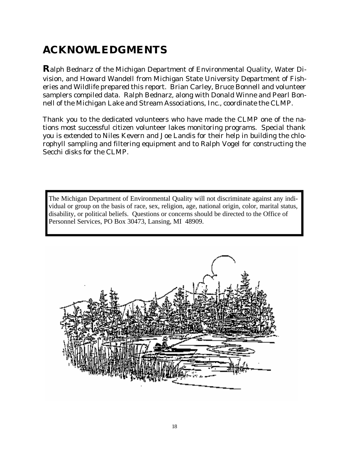# **ACKNOWLEDGMENTS**

**R**alph Bednarz of the Michigan Department of Environmental Quality, Water Division, and Howard Wandell from Michigan State University Department of Fisheries and Wildlife prepared this report. Brian Carley, Bruce Bonnell and volunteer samplers compiled data. Ralph Bednarz, along with Donald Winne and Pearl Bonnell of the Michigan Lake and Stream Associations, Inc., coordinate the CLMP.

Thank you to the dedicated volunteers who have made the CLMP one of the nations most successful citizen volunteer lakes monitoring programs. Special thank you is extended to Niles Kevern and Joe Landis for their help in building the chlorophyll sampling and filtering equipment and to Ralph Vogel for constructing the Secchi disks for the CLMP.

The Michigan Department of Environmental Quality will not discriminate against any individual or group on the basis of race, sex, religion, age, national origin, color, marital status, disability, or political beliefs. Questions or concerns should be directed to the Office of Personnel Services, PO Box 30473, Lansing, MI 48909.

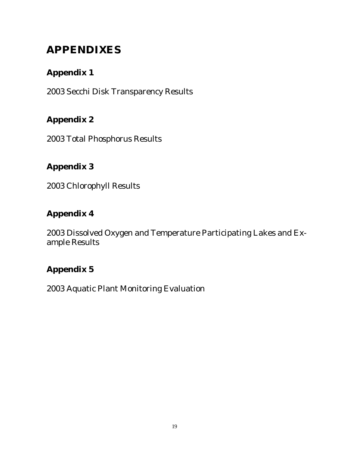# **APPENDIXES**

### **Appendix 1**

2003 Secchi Disk Transparency Results

### **Appendix 2**

2003 Total Phosphorus Results

### **Appendix 3**

2003 Chlorophyll Results

### **Appendix 4**

2003 Dissolved Oxygen and Temperature Participating Lakes and Example Results

### **Appendix 5**

2003 Aquatic Plant Monitoring Evaluation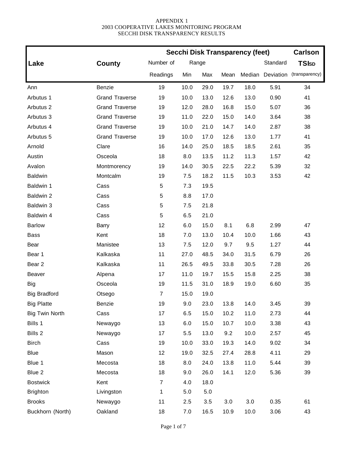|                       |                       | <b>Secchi Disk Transparency (feet)</b> | <b>Carlson</b> |       |      |        |           |                |
|-----------------------|-----------------------|----------------------------------------|----------------|-------|------|--------|-----------|----------------|
| Lake                  | <b>County</b>         | Number of                              |                | Range |      |        | Standard  | <b>TSIsp</b>   |
|                       |                       | Readings                               | Min            | Max   | Mean | Median | Deviation | (transparency) |
| Ann                   | Benzie                | 19                                     | 10.0           | 29.0  | 19.7 | 18.0   | 5.91      | 34             |
| Arbutus 1             | <b>Grand Traverse</b> | 19                                     | 10.0           | 13.0  | 12.6 | 13.0   | 0.90      | 41             |
| Arbutus <sub>2</sub>  | <b>Grand Traverse</b> | 19                                     | 12.0           | 28.0  | 16.8 | 15.0   | 5.07      | 36             |
| Arbutus 3             | <b>Grand Traverse</b> | 19                                     | 11.0           | 22.0  | 15.0 | 14.0   | 3.64      | 38             |
| Arbutus 4             | <b>Grand Traverse</b> | 19                                     | 10.0           | 21.0  | 14.7 | 14.0   | 2.87      | 38             |
| Arbutus 5             | <b>Grand Traverse</b> | 19                                     | 10.0           | 17.0  | 12.6 | 13.0   | 1.77      | 41             |
| Arnold                | Clare                 | 16                                     | 14.0           | 25.0  | 18.5 | 18.5   | 2.61      | 35             |
| Austin                | Osceola               | 18                                     | 8.0            | 13.5  | 11.2 | 11.3   | 1.57      | 42             |
| Avalon                | Montmorency           | 19                                     | 14.0           | 30.5  | 22.5 | 22.2   | 5.39      | 32             |
| <b>Baldwin</b>        | Montcalm              | 19                                     | 7.5            | 18.2  | 11.5 | 10.3   | 3.53      | 42             |
| Baldwin 1             | Cass                  | 5                                      | 7.3            | 19.5  |      |        |           |                |
| Baldwin 2             | Cass                  | 5                                      | 8.8            | 17.0  |      |        |           |                |
| Baldwin 3             | Cass                  | 5                                      | 7.5            | 21.8  |      |        |           |                |
| Baldwin 4             | Cass                  | 5                                      | 6.5            | 21.0  |      |        |           |                |
| <b>Barlow</b>         | Barry                 | 12                                     | 6.0            | 15.0  | 8.1  | 6.8    | 2.99      | 47             |
| <b>Bass</b>           | Kent                  | 18                                     | 7.0            | 13.0  | 10.4 | 10.0   | 1.66      | 43             |
| Bear                  | Manistee              | 13                                     | 7.5            | 12.0  | 9.7  | 9.5    | 1.27      | 44             |
| Bear 1                | Kalkaska              | 11                                     | 27.0           | 48.5  | 34.0 | 31.5   | 6.79      | 26             |
| Bear 2                | Kalkaska              | 11                                     | 26.5           | 49.5  | 33.8 | 30.5   | 7.28      | 26             |
| <b>Beaver</b>         | Alpena                | 17                                     | 11.0           | 19.7  | 15.5 | 15.8   | 2.25      | 38             |
| <b>Big</b>            | Osceola               | 19                                     | 11.5           | 31.0  | 18.9 | 19.0   | 6.60      | 35             |
| <b>Big Bradford</b>   | Otsego                | $\overline{7}$                         | 15.0           | 19.0  |      |        |           |                |
| <b>Big Platte</b>     | Benzie                | 19                                     | 9.0            | 23.0  | 13.8 | 14.0   | 3.45      | 39             |
| <b>Big Twin North</b> | Cass                  | 17                                     | 6.5            | 15.0  | 10.2 | 11.0   | 2.73      | 44             |
| Bills 1               | Newaygo               | 13                                     | 6.0            | 15.0  | 10.7 | 10.0   | 3.38      | 43             |
| Bills 2               | Newaygo               | 17                                     | 5.5            | 13.0  | 9.2  | 10.0   | 2.57      | 45             |
| <b>Birch</b>          | Cass                  | 19                                     | 10.0           | 33.0  | 19.3 | 14.0   | 9.02      | 34             |
| Blue                  | Mason                 | 12                                     | 19.0           | 32.5  | 27.4 | 28.8   | 4.11      | 29             |
| Blue 1                | Mecosta               | 18                                     | 8.0            | 24.0  | 13.8 | 11.0   | 5.44      | 39             |
| Blue 2                | Mecosta               | 18                                     | 9.0            | 26.0  | 14.1 | 12.0   | 5.36      | 39             |
| <b>Bostwick</b>       | Kent                  | $\overline{7}$                         | 4.0            | 18.0  |      |        |           |                |
| <b>Brighton</b>       | Livingston            | 1                                      | 5.0            | $5.0$ |      |        |           |                |
| <b>Brooks</b>         | Newaygo               | 11                                     | 2.5            | 3.5   | 3.0  | 3.0    | 0.35      | 61             |
| Buckhorn (North)      | Oakland               | 18                                     | 7.0            | 16.5  | 10.9 | 10.0   | 3.06      | 43             |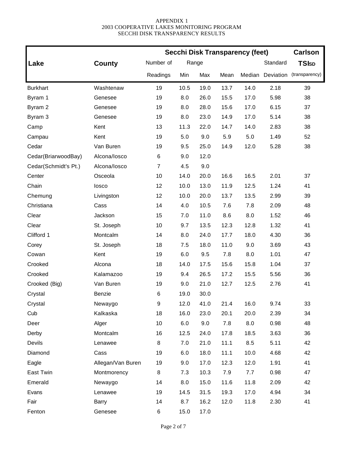|                      |                   | <b>Secchi Disk Transparency (feet)</b> | <b>Carlson</b> |       |      |        |           |                |
|----------------------|-------------------|----------------------------------------|----------------|-------|------|--------|-----------|----------------|
| Lake                 | County            | Number of                              |                | Range |      |        | Standard  | <b>TSIsp</b>   |
|                      |                   | Readings                               | Min            | Max   | Mean | Median | Deviation | (transparency) |
| <b>Burkhart</b>      | Washtenaw         | 19                                     | 10.5           | 19.0  | 13.7 | 14.0   | 2.18      | 39             |
| Byram 1              | Genesee           | 19                                     | 8.0            | 26.0  | 15.5 | 17.0   | 5.98      | 38             |
| Byram 2              | Genesee           | 19                                     | 8.0            | 28.0  | 15.6 | 17.0   | 6.15      | 37             |
| Byram 3              | Genesee           | 19                                     | 8.0            | 23.0  | 14.9 | 17.0   | 5.14      | 38             |
| Camp                 | Kent              | 13                                     | 11.3           | 22.0  | 14.7 | 14.0   | 2.83      | 38             |
| Campau               | Kent              | 19                                     | 5.0            | 9.0   | 5.9  | 5.0    | 1.49      | 52             |
| Cedar                | Van Buren         | 19                                     | 9.5            | 25.0  | 14.9 | 12.0   | 5.28      | 38             |
| Cedar(BriarwoodBay)  | Alcona/losco      | 6                                      | 9.0            | 12.0  |      |        |           |                |
| Cedar(Schmidt's Pt.) | Alcona/losco      | $\overline{7}$                         | 4.5            | 9.0   |      |        |           |                |
| Center               | Osceola           | 10                                     | 14.0           | 20.0  | 16.6 | 16.5   | 2.01      | 37             |
| Chain                | losco             | 12                                     | 10.0           | 13.0  | 11.9 | 12.5   | 1.24      | 41             |
| Chemung              | Livingston        | 12                                     | 10.0           | 20.0  | 13.7 | 13.5   | 2.99      | 39             |
| Christiana           | Cass              | 14                                     | 4.0            | 10.5  | 7.6  | 7.8    | 2.09      | 48             |
| Clear                | Jackson           | 15                                     | 7.0            | 11.0  | 8.6  | 8.0    | 1.52      | 46             |
| Clear                | St. Joseph        | 10                                     | 9.7            | 13.5  | 12.3 | 12.8   | 1.32      | 41             |
| Clifford 1           | Montcalm          | 14                                     | 8.0            | 24.0  | 17.7 | 18.0   | 4.30      | 36             |
| Corey                | St. Joseph        | 18                                     | 7.5            | 18.0  | 11.0 | 9.0    | 3.69      | 43             |
| Cowan                | Kent              | 19                                     | 6.0            | 9.5   | 7.8  | 8.0    | 1.01      | 47             |
| Crooked              | Alcona            | 18                                     | 14.0           | 17.5  | 15.6 | 15.8   | 1.04      | 37             |
| Crooked              | Kalamazoo         | 19                                     | 9.4            | 26.5  | 17.2 | 15.5   | 5.56      | 36             |
| Crooked (Big)        | Van Buren         | 19                                     | 9.0            | 21.0  | 12.7 | 12.5   | 2.76      | 41             |
| Crystal              | Benzie            | 6                                      | 19.0           | 30.0  |      |        |           |                |
| Crystal              | Newaygo           | 9                                      | 12.0           | 41.0  | 21.4 | 16.0   | 9.74      | 33             |
| Cub                  | Kalkaska          | 18                                     | 16.0           | 23.0  | 20.1 | 20.0   | 2.39      | 34             |
| Deer                 | Alger             | 10                                     | 6.0            | 9.0   | 7.8  | 8.0    | 0.98      | 48             |
| Derby                | Montcalm          | 16                                     | 12.5           | 24.0  | 17.8 | 18.5   | 3.63      | 36             |
| Devils               | Lenawee           | 8                                      | 7.0            | 21.0  | 11.1 | 8.5    | 5.11      | 42             |
| Diamond              | Cass              | 19                                     | 6.0            | 18.0  | 11.1 | 10.0   | 4.68      | 42             |
| Eagle                | Allegan/Van Buren | 19                                     | 9.0            | 17.0  | 12.3 | 12.0   | 1.91      | 41             |
| East Twin            | Montmorency       | 8                                      | 7.3            | 10.3  | 7.9  | 7.7    | 0.98      | 47             |
| Emerald              | Newaygo           | 14                                     | 8.0            | 15.0  | 11.6 | 11.8   | 2.09      | 42             |
| Evans                | Lenawee           | 19                                     | 14.5           | 31.5  | 19.3 | 17.0   | 4.94      | 34             |
| Fair                 | Barry             | 14                                     | 8.7            | 16.2  | 12.0 | 11.8   | 2.30      | 41             |
| Fenton               | Genesee           | 6                                      | 15.0           | 17.0  |      |        |           |                |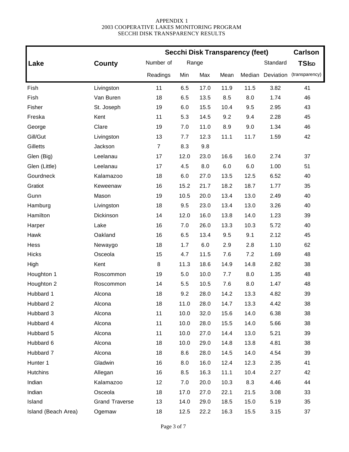|                     |                       | <b>Secchi Disk Transparency (feet)</b> | <b>Carlson</b> |       |      |        |           |                |
|---------------------|-----------------------|----------------------------------------|----------------|-------|------|--------|-----------|----------------|
| Lake                | County                | Number of                              |                | Range |      |        | Standard  | <b>TSIsp</b>   |
|                     |                       | Readings                               | Min            | Max   | Mean | Median | Deviation | (transparency) |
| Fish                | Livingston            | 11                                     | 6.5            | 17.0  | 11.9 | 11.5   | 3.82      | 41             |
| Fish                | Van Buren             | 18                                     | 6.5            | 13.5  | 8.5  | 8.0    | 1.74      | 46             |
| Fisher              | St. Joseph            | 19                                     | 6.0            | 15.5  | 10.4 | 9.5    | 2.95      | 43             |
| Freska              | Kent                  | 11                                     | 5.3            | 14.5  | 9.2  | 9.4    | 2.28      | 45             |
| George              | Clare                 | 19                                     | 7.0            | 11.0  | 8.9  | 9.0    | 1.34      | 46             |
| Gill/Gut            | Livingston            | 13                                     | 7.7            | 12.3  | 11.1 | 11.7   | 1.59      | 42             |
| Gilletts            | Jackson               | $\overline{7}$                         | 8.3            | 9.8   |      |        |           |                |
| Glen (Big)          | Leelanau              | 17                                     | 12.0           | 23.0  | 16.6 | 16.0   | 2.74      | 37             |
| Glen (Little)       | Leelanau              | 17                                     | 4.5            | 8.0   | 6.0  | 6.0    | 1.00      | 51             |
| Gourdneck           | Kalamazoo             | 18                                     | 6.0            | 27.0  | 13.5 | 12.5   | 6.52      | 40             |
| Gratiot             | Keweenaw              | 16                                     | 15.2           | 21.7  | 18.2 | 18.7   | 1.77      | 35             |
| Gunn                | Mason                 | 19                                     | 10.5           | 20.0  | 13.4 | 13.0   | 2.49      | 40             |
| Hamburg             | Livingston            | 18                                     | 9.5            | 23.0  | 13.4 | 13.0   | 3.26      | 40             |
| Hamilton            | Dickinson             | 14                                     | 12.0           | 16.0  | 13.8 | 14.0   | 1.23      | 39             |
| Harper              | Lake                  | 16                                     | 7.0            | 26.0  | 13.3 | 10.3   | 5.72      | 40             |
| Hawk                | Oakland               | 16                                     | 6.5            | 13.4  | 9.5  | 9.1    | 2.12      | 45             |
| Hess                | Newaygo               | 18                                     | 1.7            | 6.0   | 2.9  | 2.8    | 1.10      | 62             |
| <b>Hicks</b>        | Osceola               | 15                                     | 4.7            | 11.5  | 7.6  | 7.2    | 1.69      | 48             |
| High                | Kent                  | 8                                      | 11.3           | 18.6  | 14.9 | 14.8   | 2.82      | 38             |
| Houghton 1          | Roscommon             | 19                                     | 5.0            | 10.0  | 7.7  | 8.0    | 1.35      | 48             |
| Houghton 2          | Roscommon             | 14                                     | 5.5            | 10.5  | 7.6  | 8.0    | 1.47      | 48             |
| Hubbard 1           | Alcona                | 18                                     | 9.2            | 28.0  | 14.2 | 13.3   | 4.82      | 39             |
| Hubbard 2           | Alcona                | 18                                     | 11.0           | 28.0  | 14.7 | 13.3   | 4.42      | 38             |
| Hubbard 3           | Alcona                | 11                                     | 10.0           | 32.0  | 15.6 | 14.0   | 6.38      | 38             |
| Hubbard 4           | Alcona                | 11                                     | 10.0           | 28.0  | 15.5 | 14.0   | 5.66      | 38             |
| Hubbard 5           | Alcona                | 11                                     | 10.0           | 27.0  | 14.4 | 13.0   | 5.21      | 39             |
| Hubbard 6           | Alcona                | 18                                     | 10.0           | 29.0  | 14.8 | 13.8   | 4.81      | 38             |
| Hubbard 7           | Alcona                | 18                                     | 8.6            | 28.0  | 14.5 | 14.0   | 4.54      | 39             |
| Hunter 1            | Gladwin               | 16                                     | 8.0            | 16.0  | 12.4 | 12.3   | 2.35      | 41             |
| <b>Hutchins</b>     | Allegan               | 16                                     | 8.5            | 16.3  | 11.1 | 10.4   | 2.27      | 42             |
| Indian              | Kalamazoo             | 12                                     | 7.0            | 20.0  | 10.3 | 8.3    | 4.46      | 44             |
| Indian              | Osceola               | 18                                     | 17.0           | 27.0  | 22.1 | 21.5   | 3.08      | 33             |
| Island              | <b>Grand Traverse</b> | 13                                     | 14.0           | 29.0  | 18.5 | 15.0   | 5.19      | 35             |
| Island (Beach Area) | Ogemaw                | 18                                     | 12.5           | 22.2  | 16.3 | 15.5   | 3.15      | 37             |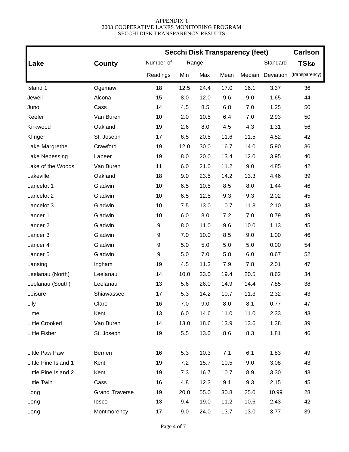|                      |                       | <b>Secchi Disk Transparency (feet)</b> | <b>Carlson</b> |       |      |        |           |                |
|----------------------|-----------------------|----------------------------------------|----------------|-------|------|--------|-----------|----------------|
| Lake                 | <b>County</b>         | Number of                              |                | Range |      |        | Standard  | <b>TSIsp</b>   |
|                      |                       | Readings                               | Min            | Max   | Mean | Median | Deviation | (transparency) |
| Island 1             | Ogemaw                | 18                                     | 12.5           | 24.4  | 17.0 | 16.1   | 3.37      | 36             |
| Jewell               | Alcona                | 15                                     | 8.0            | 12.0  | 9.6  | 9.0    | 1.65      | 44             |
| Juno                 | Cass                  | 14                                     | 4.5            | 8.5   | 6.8  | 7.0    | 1.25      | 50             |
| Keeler               | Van Buren             | 10                                     | 2.0            | 10.5  | 6.4  | 7.0    | 2.93      | 50             |
| Kirkwood             | Oakland               | 19                                     | 2.6            | 8.0   | 4.5  | 4.3    | 1.31      | 56             |
| Klinger              | St. Joseph            | 17                                     | 6.5            | 20.5  | 11.6 | 11.5   | 4.52      | 42             |
| Lake Margrethe 1     | Crawford              | 19                                     | 12.0           | 30.0  | 16.7 | 14.0   | 5.90      | 36             |
| Lake Nepessing       | Lapeer                | 19                                     | 8.0            | 20.0  | 13.4 | 12.0   | 3.95      | 40             |
| Lake of the Woods    | Van Buren             | 11                                     | 6.0            | 21.0  | 11.2 | 9.0    | 4.85      | 42             |
| Lakeville            | Oakland               | 18                                     | 9.0            | 23.5  | 14.2 | 13.3   | 4.46      | 39             |
| Lancelot 1           | Gladwin               | 10                                     | 6.5            | 10.5  | 8.5  | 8.0    | 1.44      | 46             |
| Lancelot 2           | Gladwin               | 10                                     | 6.5            | 12.5  | 9.3  | 9.3    | 2.02      | 45             |
| Lancelot 3           | Gladwin               | 10                                     | 7.5            | 13.0  | 10.7 | 11.8   | 2.10      | 43             |
| Lancer 1             | Gladwin               | 10                                     | 6.0            | 8.0   | 7.2  | 7.0    | 0.79      | 49             |
| Lancer <sub>2</sub>  | Gladwin               | $\boldsymbol{9}$                       | 8.0            | 11.0  | 9.6  | 10.0   | 1.13      | 45             |
| Lancer <sub>3</sub>  | Gladwin               | 9                                      | 7.0            | 10.0  | 8.5  | 9.0    | 1.00      | 46             |
| Lancer 4             | Gladwin               | 9                                      | 5.0            | 5.0   | 5.0  | 5.0    | 0.00      | 54             |
| Lancer <sub>5</sub>  | Gladwin               | 9                                      | 5.0            | 7.0   | 5.8  | 6.0    | 0.67      | 52             |
| Lansing              | Ingham                | 19                                     | 4.5            | 11.3  | 7.9  | 7.8    | 2.01      | 47             |
| Leelanau (North)     | Leelanau              | 14                                     | 10.0           | 33.0  | 19.4 | 20.5   | 8.62      | 34             |
| Leelanau (South)     | Leelanau              | 13                                     | 5.6            | 26.0  | 14.9 | 14.4   | 7.85      | 38             |
| Leisure              | Shiawassee            | 17                                     | 5.3            | 14.2  | 10.7 | 11.3   | 2.32      | 43             |
| Lily                 | Clare                 | 16                                     | 7.0            | 9.0   | 8.0  | 8.1    | 0.77      | 47             |
| Lime                 | Kent                  | 13                                     | 6.0            | 14.6  | 11.0 | 11.0   | 2.33      | 43             |
| Little Crooked       | Van Buren             | 14                                     | 13.0           | 18.6  | 13.9 | 13.6   | 1.38      | 39             |
| Little Fisher        | St. Joseph            | 19                                     | 5.5            | 13.0  | 8.6  | 8.3    | 1.81      | 46             |
| Little Paw Paw       | <b>Berrien</b>        | 16                                     | 5.3            | 10.3  | 7.1  | 6.1    | 1.83      | 49             |
| Little Pine Island 1 | Kent                  | 19                                     | 7.2            | 15.7  | 10.5 | 9.0    | 3.08      | 43             |
| Little Pine Island 2 | Kent                  | 19                                     | 7.3            | 16.7  | 10.7 | 8.9    | 3.30      | 43             |
| <b>Little Twin</b>   | Cass                  | 16                                     | 4.8            | 12.3  | 9.1  | 9.3    | 2.15      | 45             |
| Long                 | <b>Grand Traverse</b> | 19                                     | 20.0           | 55.0  | 30.8 | 25.0   | 10.99     | 28             |
| Long                 | losco                 | 13                                     | 9.4            | 19.0  | 11.2 | 10.6   | 2.43      | 42             |
| Long                 | Montmorency           | 17                                     | 9.0            | 24.0  | 13.7 | 13.0   | 3.77      | 39             |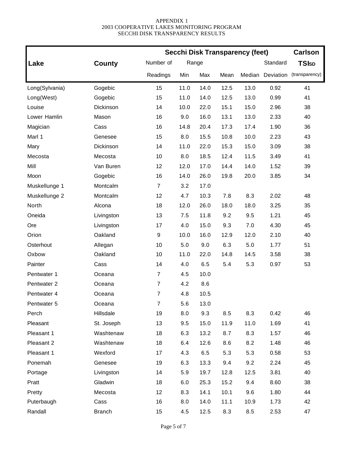|                |               | <b>Secchi Disk Transparency (feet)</b> |      | <b>Carlson</b> |      |        |           |                |
|----------------|---------------|----------------------------------------|------|----------------|------|--------|-----------|----------------|
| Lake           | <b>County</b> | Number of                              |      | Range          |      |        | Standard  | <b>TSIsp</b>   |
|                |               | Readings                               | Min  | Max            | Mean | Median | Deviation | (transparency) |
| Long(Sylvania) | Gogebic       | 15                                     | 11.0 | 14.0           | 12.5 | 13.0   | 0.92      | 41             |
| Long(West)     | Gogebic       | 15                                     | 11.0 | 14.0           | 12.5 | 13.0   | 0.99      | 41             |
| Louise         | Dickinson     | 14                                     | 10.0 | 22.0           | 15.1 | 15.0   | 2.96      | 38             |
| Lower Hamlin   | Mason         | 16                                     | 9.0  | 16.0           | 13.1 | 13.0   | 2.33      | 40             |
| Magician       | Cass          | 16                                     | 14.8 | 20.4           | 17.3 | 17.4   | 1.90      | 36             |
| Marl 1         | Genesee       | 15                                     | 8.0  | 15.5           | 10.8 | 10.0   | 2.23      | 43             |
| Mary           | Dickinson     | 14                                     | 11.0 | 22.0           | 15.3 | 15.0   | 3.09      | 38             |
| Mecosta        | Mecosta       | 10                                     | 8.0  | 18.5           | 12.4 | 11.5   | 3.49      | 41             |
| Mill           | Van Buren     | 12                                     | 12.0 | 17.0           | 14.4 | 14.0   | 1.52      | 39             |
| Moon           | Gogebic       | 16                                     | 14.0 | 26.0           | 19.8 | 20.0   | 3.85      | 34             |
| Muskellunge 1  | Montcalm      | $\overline{7}$                         | 3.2  | 17.0           |      |        |           |                |
| Muskellunge 2  | Montcalm      | 12                                     | 4.7  | 10.3           | 7.8  | 8.3    | 2.02      | 48             |
| North          | Alcona        | 18                                     | 12.0 | 26.0           | 18.0 | 18.0   | 3.25      | 35             |
| Oneida         | Livingston    | 13                                     | 7.5  | 11.8           | 9.2  | 9.5    | 1.21      | 45             |
| Ore            | Livingston    | 17                                     | 4.0  | 15.0           | 9.3  | 7.0    | 4.30      | 45             |
| Orion          | Oakland       | 9                                      | 10.0 | 16.0           | 12.9 | 12.0   | 2.10      | 40             |
| Osterhout      | Allegan       | 10                                     | 5.0  | 9.0            | 6.3  | 5.0    | 1.77      | 51             |
| Oxbow          | Oakland       | 10                                     | 11.0 | 22.0           | 14.8 | 14.5   | 3.58      | 38             |
| Painter        | Cass          | 14                                     | 4.0  | 6.5            | 5.4  | 5.3    | 0.97      | 53             |
| Pentwater 1    | Oceana        | $\overline{7}$                         | 4.5  | 10.0           |      |        |           |                |
| Pentwater 2    | Oceana        | $\overline{7}$                         | 4.2  | 8.6            |      |        |           |                |
| Pentwater 4    | Oceana        | 7                                      | 4.8  | 10.5           |      |        |           |                |
| Pentwater 5    | Oceana        | $\overline{7}$                         | 5.6  | 13.0           |      |        |           |                |
| Perch          | Hillsdale     | 19                                     | 8.0  | 9.3            | 8.5  | 8.3    | 0.42      | 46             |
| Pleasant       | St. Joseph    | 13                                     | 9.5  | 15.0           | 11.9 | 11.0   | 1.69      | 41             |
| Pleasant 1     | Washtenaw     | 18                                     | 6.3  | 13.2           | 8.7  | 8.3    | 1.57      | 46             |
| Pleasant 2     | Washtenaw     | 18                                     | 6.4  | 12.6           | 8.6  | 8.2    | 1.48      | 46             |
| Pleasant 1     | Wexford       | 17                                     | 4.3  | 6.5            | 5.3  | 5.3    | 0.58      | 53             |
| Ponemah        | Genesee       | 19                                     | 6.3  | 13.3           | 9.4  | 9.2    | 2.24      | 45             |
| Portage        | Livingston    | 14                                     | 5.9  | 19.7           | 12.8 | 12.5   | 3.81      | 40             |
| Pratt          | Gladwin       | 18                                     | 6.0  | 25.3           | 15.2 | 9.4    | 8.60      | 38             |
| Pretty         | Mecosta       | 12                                     | 8.3  | 14.1           | 10.1 | 9.6    | 1.80      | 44             |
| Puterbaugh     | Cass          | 16                                     | 8.0  | 14.0           | 11.1 | 10.9   | 1.73      | 42             |
| Randall        | <b>Branch</b> | 15                                     | 4.5  | 12.5           | 8.3  | 8.5    | 2.53      | 47             |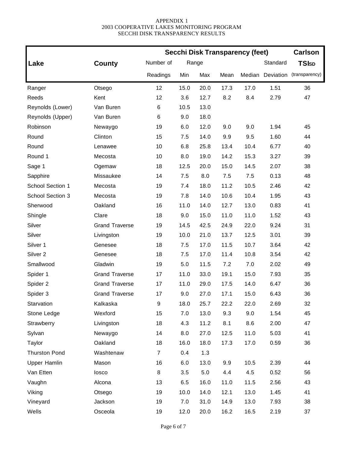|                      |                       | <b>Secchi Disk Transparency (feet)</b> |      | <b>Carlson</b> |      |        |           |                |
|----------------------|-----------------------|----------------------------------------|------|----------------|------|--------|-----------|----------------|
| Lake                 | County                | Number of                              |      | Range          |      |        | Standard  | <b>TSIsp</b>   |
|                      |                       | Readings                               | Min  | Max            | Mean | Median | Deviation | (transparency) |
| Ranger               | Otsego                | 12                                     | 15.0 | 20.0           | 17.3 | 17.0   | 1.51      | 36             |
| Reeds                | Kent                  | 12                                     | 3.6  | 12.7           | 8.2  | 8.4    | 2.79      | 47             |
| Reynolds (Lower)     | Van Buren             | 6                                      | 10.5 | 13.0           |      |        |           |                |
| Reynolds (Upper)     | Van Buren             | 6                                      | 9.0  | 18.0           |      |        |           |                |
| Robinson             | Newaygo               | 19                                     | 6.0  | 12.0           | 9.0  | 9.0    | 1.94      | 45             |
| Round                | Clinton               | 15                                     | 7.5  | 14.0           | 9.9  | 9.5    | 1.60      | 44             |
| Round                | Lenawee               | 10                                     | 6.8  | 25.8           | 13.4 | 10.4   | 6.77      | 40             |
| Round 1              | Mecosta               | 10                                     | 8.0  | 19.0           | 14.2 | 15.3   | 3.27      | 39             |
| Sage 1               | Ogemaw                | 18                                     | 12.5 | 20.0           | 15.0 | 14.5   | 2.07      | 38             |
| Sapphire             | Missaukee             | 14                                     | 7.5  | 8.0            | 7.5  | 7.5    | 0.13      | 48             |
| School Section 1     | Mecosta               | 19                                     | 7.4  | 18.0           | 11.2 | 10.5   | 2.46      | 42             |
| School Section 3     | Mecosta               | 19                                     | 7.8  | 14.0           | 10.6 | 10.4   | 1.95      | 43             |
| Sherwood             | Oakland               | 16                                     | 11.0 | 14.0           | 12.7 | 13.0   | 0.83      | 41             |
| Shingle              | Clare                 | 18                                     | 9.0  | 15.0           | 11.0 | 11.0   | 1.52      | 43             |
| Silver               | <b>Grand Traverse</b> | 19                                     | 14.5 | 42.5           | 24.9 | 22.0   | 9.24      | 31             |
| Silver               | Livingston            | 19                                     | 10.0 | 21.0           | 13.7 | 12.5   | 3.01      | 39             |
| Silver 1             | Genesee               | 18                                     | 7.5  | 17.0           | 11.5 | 10.7   | 3.64      | 42             |
| Silver <sub>2</sub>  | Genesee               | 18                                     | 7.5  | 17.0           | 11.4 | 10.8   | 3.54      | 42             |
| Smallwood            | Gladwin               | 19                                     | 5.0  | 11.5           | 7.2  | 7.0    | 2.02      | 49             |
| Spider 1             | <b>Grand Traverse</b> | 17                                     | 11.0 | 33.0           | 19.1 | 15.0   | 7.93      | 35             |
| Spider 2             | <b>Grand Traverse</b> | 17                                     | 11.0 | 29.0           | 17.5 | 14.0   | 6.47      | 36             |
| Spider 3             | <b>Grand Traverse</b> | 17                                     | 9.0  | 27.0           | 17.1 | 15.0   | 6.43      | 36             |
| Starvation           | Kalkaska              | 9                                      | 18.0 | 25.7           | 22.2 | 22.0   | 2.69      | 32             |
| Stone Ledge          | Wexford               | 15                                     | 7.0  | 13.0           | 9.3  | 9.0    | 1.54      | 45             |
| Strawberry           | Livingston            | 18                                     | 4.3  | 11.2           | 8.1  | 8.6    | 2.00      | 47             |
| Sylvan               | Newaygo               | 14                                     | 8.0  | 27.0           | 12.5 | 11.0   | 5.03      | 41             |
| Taylor               | Oakland               | 18                                     | 16.0 | 18.0           | 17.3 | 17.0   | 0.59      | 36             |
| <b>Thurston Pond</b> | Washtenaw             | $\overline{7}$                         | 0.4  | 1.3            |      |        |           |                |
| <b>Upper Hamlin</b>  | Mason                 | 16                                     | 6.0  | 13.0           | 9.9  | 10.5   | 2.39      | 44             |
| Van Etten            | losco                 | 8                                      | 3.5  | 5.0            | 4.4  | 4.5    | 0.52      | 56             |
| Vaughn               | Alcona                | 13                                     | 6.5  | 16.0           | 11.0 | 11.5   | 2.56      | 43             |
| Viking               | Otsego                | 19                                     | 10.0 | 14.0           | 12.1 | 13.0   | 1.45      | 41             |
| Vineyard             | Jackson               | 19                                     | 7.0  | 31.0           | 14.9 | 13.0   | 7.93      | 38             |
| Wells                | Osceola               | 19                                     | 12.0 | 20.0           | 16.2 | 16.5   | 2.19      | 37             |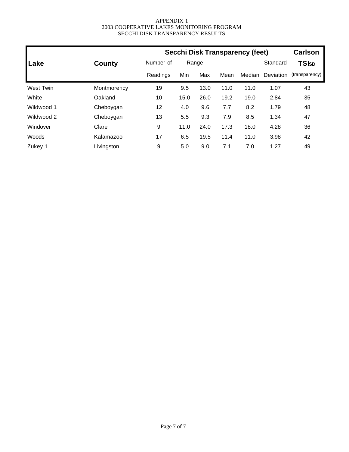|                  |             |           |       |      |      | <b>Secchi Disk Transparency (feet)</b> |                  | <b>Carlson</b> |
|------------------|-------------|-----------|-------|------|------|----------------------------------------|------------------|----------------|
| Lake             | County      | Number of | Range |      |      |                                        | Standard         | <b>TSIsp</b>   |
|                  |             | Readings  |       | Max  | Mean | Median                                 | <b>Deviation</b> | (transparency) |
| <b>West Twin</b> | Montmorency | 19        | 9.5   | 13.0 | 11.0 | 11.0                                   | 1.07             | 43             |
| White            | Oakland     | 10        | 15.0  | 26.0 | 19.2 | 19.0                                   | 2.84             | 35             |
| Wildwood 1       | Cheboygan   | 12        | 4.0   | 9.6  | 7.7  | 8.2                                    | 1.79             | 48             |
| Wildwood 2       | Cheboygan   | 13        | 5.5   | 9.3  | 7.9  | 8.5                                    | 1.34             | 47             |
| Windover         | Clare       | 9         | 11.0  | 24.0 | 17.3 | 18.0                                   | 4.28             | 36             |
| Woods            | Kalamazoo   | 17        | 6.5   | 19.5 | 11.4 | 11.0                                   | 3.98             | 42             |
| Zukey 1          | Livingston  | 9         | 5.0   | 9.0  | 7.1  | 7.0                                    | 1.27             | 49             |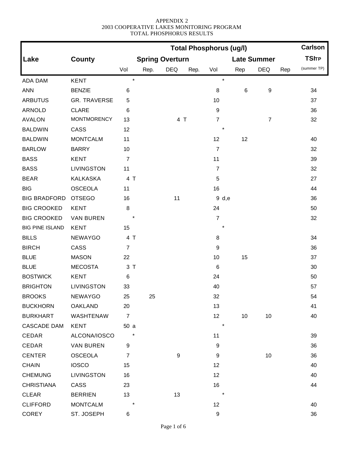|                        |                     | <b>Carlson</b><br><b>Total Phosphorus (ug/l)</b> |                        |                  |      |                  |     |                    |     |              |
|------------------------|---------------------|--------------------------------------------------|------------------------|------------------|------|------------------|-----|--------------------|-----|--------------|
| Lake                   | <b>County</b>       |                                                  | <b>Spring Overturn</b> |                  |      |                  |     | <b>Late Summer</b> |     | <b>TSITP</b> |
|                        |                     | Vol                                              | Rep.                   | <b>DEQ</b>       | Rep. | Vol              | Rep | <b>DEQ</b>         | Rep | (summer TP)  |
| ADA DAM                | <b>KENT</b>         | $\star$                                          |                        |                  |      | $\star$          |     |                    |     |              |
| <b>ANN</b>             | <b>BENZIE</b>       | 6                                                |                        |                  |      | 8                | 6   | 9                  |     | 34           |
| <b>ARBUTUS</b>         | <b>GR. TRAVERSE</b> | 5                                                |                        |                  |      | 10               |     |                    |     | 37           |
| <b>ARNOLD</b>          | <b>CLARE</b>        | 6                                                |                        |                  |      | $\boldsymbol{9}$ |     |                    |     | 36           |
| <b>AVALON</b>          | <b>MONTMORENCY</b>  | 13                                               |                        | 4 T              |      | $\overline{7}$   |     | $\overline{7}$     |     | 32           |
| <b>BALDWIN</b>         | CASS                | 12                                               |                        |                  |      | $\star$          |     |                    |     |              |
| <b>BALDWIN</b>         | <b>MONTCALM</b>     | 11                                               |                        |                  |      | 12               | 12  |                    |     | 40           |
| <b>BARLOW</b>          | <b>BARRY</b>        | 10                                               |                        |                  |      | $\overline{7}$   |     |                    |     | 32           |
| <b>BASS</b>            | <b>KENT</b>         | $\overline{7}$                                   |                        |                  |      | 11               |     |                    |     | 39           |
| <b>BASS</b>            | <b>LIVINGSTON</b>   | 11                                               |                        |                  |      | $\overline{7}$   |     |                    |     | 32           |
| <b>BEAR</b>            | <b>KALKASKA</b>     | 4 T                                              |                        |                  |      | 5                |     |                    |     | 27           |
| <b>BIG</b>             | <b>OSCEOLA</b>      | 11                                               |                        |                  |      | 16               |     |                    |     | 44           |
| <b>BIG BRADFORD</b>    | <b>OTSEGO</b>       | 16                                               |                        | 11               |      | 9 d,e            |     |                    |     | 36           |
| <b>BIG CROOKED</b>     | <b>KENT</b>         | 8                                                |                        |                  |      | 24               |     |                    |     | 50           |
| <b>BIG CROOKED</b>     | <b>VAN BUREN</b>    | $\star$                                          |                        |                  |      | $\overline{7}$   |     |                    |     | 32           |
| <b>BIG PINE ISLAND</b> | <b>KENT</b>         | 15                                               |                        |                  |      |                  |     |                    |     |              |
| <b>BILLS</b>           | <b>NEWAYGO</b>      | 4 T                                              |                        |                  |      | 8                |     |                    |     | 34           |
| <b>BIRCH</b>           | CASS                | $\overline{7}$                                   |                        |                  |      | $\boldsymbol{9}$ |     |                    |     | 36           |
| <b>BLUE</b>            | <b>MASON</b>        | 22                                               |                        |                  |      | 10               | 15  |                    |     | 37           |
| <b>BLUE</b>            | <b>MECOSTA</b>      | 3T                                               |                        |                  |      | $\,6$            |     |                    |     | 30           |
| <b>BOSTWICK</b>        | <b>KENT</b>         | 6                                                |                        |                  |      | 24               |     |                    |     | 50           |
| <b>BRIGHTON</b>        | <b>LIVINGSTON</b>   | 33                                               |                        |                  |      | 40               |     |                    |     | 57           |
| <b>BROOKS</b>          | <b>NEWAYGO</b>      | 25                                               | 25                     |                  |      | 32               |     |                    |     | 54           |
| <b>BUCKHORN</b>        | <b>OAKLAND</b>      | 20                                               |                        |                  |      | 13               |     |                    |     | 41           |
| <b>BURKHART</b>        | WASHTENAW           | $\overline{7}$                                   |                        |                  |      | 12               | 10  | 10                 |     | 40           |
| <b>CASCADE DAM</b>     | KENT                | 50a                                              |                        |                  |      | $\star$          |     |                    |     |              |
| CEDAR                  | ALCONA/IOSCO        |                                                  |                        |                  |      | 11               |     |                    |     | 39           |
| CEDAR                  | <b>VAN BUREN</b>    | 9                                                |                        |                  |      | $\boldsymbol{9}$ |     |                    |     | 36           |
| <b>CENTER</b>          | <b>OSCEOLA</b>      | $\boldsymbol{7}$                                 |                        | $\boldsymbol{9}$ |      | 9                |     | 10                 |     | 36           |
| <b>CHAIN</b>           | <b>IOSCO</b>        | 15                                               |                        |                  |      | 12               |     |                    |     | 40           |
| <b>CHEMUNG</b>         | <b>LIVINGSTON</b>   | 16                                               |                        |                  |      | 12               |     |                    |     | 40           |
| <b>CHRISTIANA</b>      | CASS                | 23                                               |                        |                  |      | 16               |     |                    |     | 44           |
| <b>CLEAR</b>           | <b>BERRIEN</b>      | 13                                               |                        | 13               |      |                  |     |                    |     |              |
| <b>CLIFFORD</b>        | <b>MONTCALM</b>     | $\ast$                                           |                        |                  |      | 12               |     |                    |     | 40           |
| <b>COREY</b>           | ST. JOSEPH          | 6                                                |                        |                  |      | $\boldsymbol{9}$ |     |                    |     | 36           |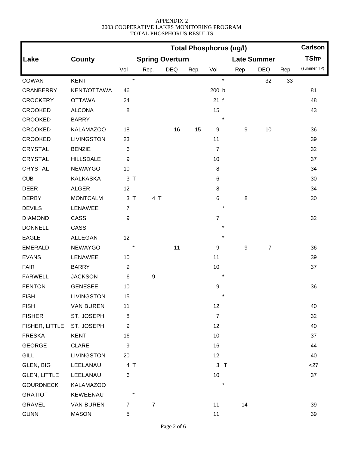|                     |                    | <b>Total Phosphorus (ug/l)</b> |                        |            |      |                  |                  |                    |     | <b>Carlson</b> |
|---------------------|--------------------|--------------------------------|------------------------|------------|------|------------------|------------------|--------------------|-----|----------------|
| Lake                | <b>County</b>      |                                | <b>Spring Overturn</b> |            |      |                  |                  | <b>Late Summer</b> |     | <b>TSITP</b>   |
|                     |                    | Vol                            | Rep.                   | <b>DEQ</b> | Rep. | Vol              | Rep              | <b>DEQ</b>         | Rep | (summer TP)    |
| <b>COWAN</b>        | <b>KENT</b>        | $\star$                        |                        |            |      | $\star$          |                  | 32                 | 33  |                |
| <b>CRANBERRY</b>    | <b>KENT/OTTAWA</b> | 46                             |                        |            |      | 200 b            |                  |                    |     | 81             |
| <b>CROCKERY</b>     | <b>OTTAWA</b>      | 24                             |                        |            |      | 21 f             |                  |                    |     | 48             |
| CROOKED             | <b>ALCONA</b>      | 8                              |                        |            |      | 15               |                  |                    |     | 43             |
| <b>CROOKED</b>      | <b>BARRY</b>       |                                |                        |            |      | $\star$          |                  |                    |     |                |
| <b>CROOKED</b>      | <b>KALAMAZOO</b>   | 18                             |                        | 16         | 15   | 9                | $\boldsymbol{9}$ | 10                 |     | 36             |
| <b>CROOKED</b>      | <b>LIVINGSTON</b>  | 23                             |                        |            |      | 11               |                  |                    |     | 39             |
| <b>CRYSTAL</b>      | <b>BENZIE</b>      | $\,6$                          |                        |            |      | $\overline{7}$   |                  |                    |     | 32             |
| <b>CRYSTAL</b>      | <b>HILLSDALE</b>   | 9                              |                        |            |      | 10               |                  |                    |     | 37             |
| <b>CRYSTAL</b>      | NEWAYGO            | 10                             |                        |            |      | 8                |                  |                    |     | 34             |
| CUB                 | <b>KALKASKA</b>    | 3T                             |                        |            |      | 6                |                  |                    |     | 30             |
| <b>DEER</b>         | <b>ALGER</b>       | 12                             |                        |            |      | 8                |                  |                    |     | 34             |
| <b>DERBY</b>        | <b>MONTCALM</b>    | 3T                             | 4 T                    |            |      | 6                | $\bf 8$          |                    |     | 30             |
| <b>DEVILS</b>       | LENAWEE            | $\overline{7}$                 |                        |            |      | $\star$          |                  |                    |     |                |
| <b>DIAMOND</b>      | CASS               | 9                              |                        |            |      | $\overline{7}$   |                  |                    |     | 32             |
| <b>DONNELL</b>      | CASS               |                                |                        |            |      | $^\star$         |                  |                    |     |                |
| <b>EAGLE</b>        | <b>ALLEGAN</b>     | 12                             |                        |            |      | $\star$          |                  |                    |     |                |
| <b>EMERALD</b>      | <b>NEWAYGO</b>     | $\ast$                         |                        | 11         |      | $\boldsymbol{9}$ | $9\,$            | 7                  |     | 36             |
| <b>EVANS</b>        | LENAWEE            | 10                             |                        |            |      | 11               |                  |                    |     | 39             |
| <b>FAIR</b>         | <b>BARRY</b>       | 9                              |                        |            |      | 10               |                  |                    |     | 37             |
| <b>FARWELL</b>      | <b>JACKSON</b>     | 6                              | $\boldsymbol{9}$       |            |      |                  |                  |                    |     |                |
| <b>FENTON</b>       | <b>GENESEE</b>     | 10                             |                        |            |      | $\boldsymbol{9}$ |                  |                    |     | 36             |
| <b>FISH</b>         | <b>LIVINGSTON</b>  | 15                             |                        |            |      | $\star$          |                  |                    |     |                |
| <b>FISH</b>         | <b>VAN BUREN</b>   | 11                             |                        |            |      | 12               |                  |                    |     | 40             |
| <b>FISHER</b>       | ST. JOSEPH         | 8                              |                        |            |      | $\overline{7}$   |                  |                    |     | 32             |
| FISHER, LITTLE      | ST. JOSEPH         | 9                              |                        |            |      | 12               |                  |                    |     | 40             |
| <b>FRESKA</b>       | <b>KENT</b>        | 16                             |                        |            |      | 10               |                  |                    |     | 37             |
| <b>GEORGE</b>       | <b>CLARE</b>       | $\boldsymbol{9}$               |                        |            |      | 16               |                  |                    |     | 44             |
| <b>GILL</b>         | <b>LIVINGSTON</b>  | 20                             |                        |            |      | 12               |                  |                    |     | 40             |
| GLEN, BIG           | LEELANAU           | 4 T                            |                        |            |      | 3T               |                  |                    |     | $<$ 27         |
| <b>GLEN, LITTLE</b> | LEELANAU           | 6                              |                        |            |      | 10               |                  |                    |     | 37             |
| <b>GOURDNECK</b>    | <b>KALAMAZOO</b>   |                                |                        |            |      | $\star$          |                  |                    |     |                |
| <b>GRATIOT</b>      | KEWEENAU           | $\ast$                         |                        |            |      |                  |                  |                    |     |                |
| GRAVEL              | <b>VAN BUREN</b>   | $\overline{7}$                 | $\boldsymbol{7}$       |            |      | 11               | 14               |                    |     | 39             |
| <b>GUNN</b>         | <b>MASON</b>       | 5                              |                        |            |      | 11               |                  |                    |     | 39             |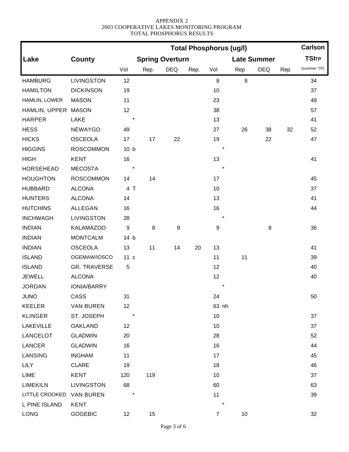|                          |                   | <b>Total Phosphorus (ug/l)</b> |      |                        |      |                  |     |                    |     | <b>Carlson</b> |
|--------------------------|-------------------|--------------------------------|------|------------------------|------|------------------|-----|--------------------|-----|----------------|
| Lake                     | <b>County</b>     |                                |      | <b>Spring Overturn</b> |      |                  |     | <b>Late Summer</b> |     | <b>TSITP</b>   |
|                          |                   | Vol                            | Rep. | <b>DEQ</b>             | Rep. | Vol              | Rep | <b>DEQ</b>         | Rep | (summer TP)    |
| <b>HAMBURG</b>           | LIVINGSTON        | 12                             |      |                        |      | 8                | 8   |                    |     | 34             |
| <b>HAMILTON</b>          | <b>DICKINSON</b>  | 19                             |      |                        |      | 10               |     |                    |     | 37             |
| HAMLIN, LOWER            | <b>MASON</b>      | 11                             |      |                        |      | 23               |     |                    |     | 49             |
| HAMLIN, UPPER MASON      |                   | 12                             |      |                        |      | 38               |     |                    |     | 57             |
| <b>HARPER</b>            | LAKE              | $\star$                        |      |                        |      | 13               |     |                    |     | 41             |
| <b>HESS</b>              | <b>NEWAYGO</b>    | 49                             |      |                        |      | 27               | 26  | 38                 | 32  | 52             |
| <b>HICKS</b>             | <b>OSCEOLA</b>    | 17                             | 17   | 22                     |      | 19               |     | 22                 |     | 47             |
| <b>HIGGINS</b>           | <b>ROSCOMMON</b>  | 10 <sub>b</sub>                |      |                        |      | $^\star$         |     |                    |     |                |
| <b>HIGH</b>              | <b>KENT</b>       | 16                             |      |                        |      | 13               |     |                    |     | 41             |
| <b>HORSEHEAD</b>         | <b>MECOSTA</b>    | $\ast$                         |      |                        |      | $\star$          |     |                    |     |                |
| <b>HOUGHTON</b>          | <b>ROSCOMMON</b>  | 14                             | 14   |                        |      | 17               |     |                    |     | 45             |
| <b>HUBBARD</b>           | <b>ALCONA</b>     | 4 T                            |      |                        |      | 10               |     |                    |     | 37             |
| <b>HUNTERS</b>           | <b>ALCONA</b>     | 14                             |      |                        |      | 13               |     |                    |     | 41             |
| <b>HUTCHINS</b>          | <b>ALLEGAN</b>    | 16                             |      |                        |      | 16               |     |                    |     | 44             |
| <b>INCHWAGH</b>          | <b>LIVINGSTON</b> | 28                             |      |                        |      |                  |     |                    |     |                |
| <b>INDIAN</b>            | <b>KALAMAZOO</b>  | 9                              | 8    | 9                      |      | $\boldsymbol{9}$ |     | 8                  |     | 36             |
| <b>INDIAN</b>            | <b>MONTCALM</b>   | 14 b                           |      |                        |      |                  |     |                    |     |                |
| <b>INDIAN</b>            | <b>OSCEOLA</b>    | 13                             | 11   | 14                     | 20   | 13               |     |                    |     | 41             |
| <b>ISLAND</b>            | OGEMAW/IOSCO      | 11 <sub>c</sub>                |      |                        |      | 11               | 11  |                    |     | 39             |
| <b>ISLAND</b>            | GR. TRAVERSE      | 5                              |      |                        |      | 12               |     |                    |     | 40             |
| <b>JEWELL</b>            | <b>ALCONA</b>     |                                |      |                        |      | 12               |     |                    |     | 40             |
| <b>JORDAN</b>            | IONIA/BARRY       |                                |      |                        |      |                  |     |                    |     |                |
| <b>JUNO</b>              | CASS              | 31                             |      |                        |      | 24               |     |                    |     | $50\,$         |
| KEELER                   | <b>VAN BUREN</b>  | 12                             |      |                        |      | 63 nh            |     |                    |     |                |
| KLINGER                  | ST. JOSEPH        | $\ast$                         |      |                        |      | 10               |     |                    |     | 37             |
| <b>LAKEVILLE</b>         | <b>OAKLAND</b>    | 12                             |      |                        |      | 10               |     |                    |     | 37             |
| <b>LANCELOT</b>          | <b>GLADWIN</b>    | 20                             |      |                        |      | 28               |     |                    |     | 52             |
| LANCER                   | <b>GLADWIN</b>    | 16                             |      |                        |      | 16               |     |                    |     | 44             |
| LANSING                  | <b>INGHAM</b>     | 11                             |      |                        |      | 17               |     |                    |     | 45             |
| <b>LILY</b>              | <b>CLARE</b>      | 19                             |      |                        |      | 18               |     |                    |     | 46             |
| LIME                     | KENT              | 120                            | 119  |                        |      | 10               |     |                    |     | 37             |
| <b>LIMEKILN</b>          | <b>LIVINGSTON</b> | 68                             |      |                        |      | 60               |     |                    |     | 63             |
| LITTLE CROOKED VAN BUREN |                   | $\star$                        |      |                        |      | 11               |     |                    |     | 39             |
| L PINE ISLAND            | KENT              |                                |      |                        |      |                  |     |                    |     |                |
| LONG                     | <b>GOGEBIC</b>    | 12                             | 15   |                        |      | $\overline{7}$   | 10  |                    |     | 32             |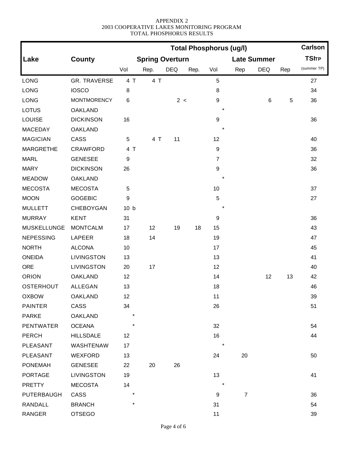|                    |                    | <b>Total Phosphorus (ug/l)</b> |                        |            |      |                  |                |                    |     | <b>Carlson</b> |
|--------------------|--------------------|--------------------------------|------------------------|------------|------|------------------|----------------|--------------------|-----|----------------|
| Lake               | <b>County</b>      |                                | <b>Spring Overturn</b> |            |      |                  |                | <b>Late Summer</b> |     | <b>TSITP</b>   |
|                    |                    | Vol                            | Rep.                   | <b>DEQ</b> | Rep. | Vol              | Rep            | <b>DEQ</b>         | Rep | (summer TP)    |
| <b>LONG</b>        | GR. TRAVERSE       | 4 T                            | 4 T                    |            |      | 5                |                |                    |     | 27             |
| LONG               | <b>IOSCO</b>       | 8                              |                        |            |      | 8                |                |                    |     | 34             |
| LONG               | <b>MONTMORENCY</b> | 6                              |                        | 2 <        |      | $\boldsymbol{9}$ |                | 6                  | 5   | 36             |
| <b>LOTUS</b>       | <b>OAKLAND</b>     |                                |                        |            |      |                  |                |                    |     |                |
| <b>LOUISE</b>      | <b>DICKINSON</b>   | 16                             |                        |            |      | $\boldsymbol{9}$ |                |                    |     | 36             |
| <b>MACEDAY</b>     | <b>OAKLAND</b>     |                                |                        |            |      | $\star$          |                |                    |     |                |
| <b>MAGICIAN</b>    | CASS               | 5                              | 4 T                    | 11         |      | 12               |                |                    |     | 40             |
| <b>MARGRETHE</b>   | CRAWFORD           | 4 T                            |                        |            |      | $\boldsymbol{9}$ |                |                    |     | 36             |
| <b>MARL</b>        | <b>GENESEE</b>     | 9                              |                        |            |      | $\overline{7}$   |                |                    |     | 32             |
| <b>MARY</b>        | <b>DICKINSON</b>   | 26                             |                        |            |      | $\boldsymbol{9}$ |                |                    |     | 36             |
| <b>MEADOW</b>      | <b>OAKLAND</b>     |                                |                        |            |      |                  |                |                    |     |                |
| <b>MECOSTA</b>     | <b>MECOSTA</b>     | 5                              |                        |            |      | 10               |                |                    |     | 37             |
| <b>MOON</b>        | <b>GOGEBIC</b>     | 9                              |                        |            |      | $\sqrt{5}$       |                |                    |     | 27             |
| <b>MULLETT</b>     | CHEBOYGAN          | 10 <sub>b</sub>                |                        |            |      | $\ast$           |                |                    |     |                |
| <b>MURRAY</b>      | <b>KENT</b>        | 31                             |                        |            |      | $\boldsymbol{9}$ |                |                    |     | 36             |
| <b>MUSKELLUNGE</b> | <b>MONTCALM</b>    | 17                             | 12                     | 19         | 18   | 15               |                |                    |     | 43             |
| <b>NEPESSING</b>   | LAPEER             | 18                             | 14                     |            |      | 19               |                |                    |     | 47             |
| <b>NORTH</b>       | <b>ALCONA</b>      | 10                             |                        |            |      | 17               |                |                    |     | 45             |
| <b>ONEIDA</b>      | LIVINGSTON         | 13                             |                        |            |      | 13               |                |                    |     | 41             |
| <b>ORE</b>         | <b>LIVINGSTON</b>  | 20                             | 17                     |            |      | 12               |                |                    |     | 40             |
| <b>ORION</b>       | <b>OAKLAND</b>     | 12                             |                        |            |      | 14               |                | 12                 | 13  | 42             |
| <b>OSTERHOUT</b>   | <b>ALLEGAN</b>     | 13                             |                        |            |      | 18               |                |                    |     | 46             |
| <b>OXBOW</b>       | OAKLAND            | 12                             |                        |            |      | 11               |                |                    |     | 39             |
| <b>PAINTER</b>     | CASS               | 34                             |                        |            |      | 26               |                |                    |     | 51             |
| <b>PARKE</b>       | OAKLAND            | $\star$                        |                        |            |      |                  |                |                    |     |                |
| <b>PENTWATER</b>   | <b>OCEANA</b>      |                                |                        |            |      | 32               |                |                    |     | 54             |
| PERCH              | <b>HILLSDALE</b>   | 12                             |                        |            |      | 16               |                |                    |     | 44             |
| PLEASANT           | WASHTENAW          | 17                             |                        |            |      | $\ast$           |                |                    |     |                |
| PLEASANT           | WEXFORD            | 13                             |                        |            |      | 24               | 20             |                    |     | 50             |
| <b>PONEMAH</b>     | <b>GENESEE</b>     | 22                             | 20                     | 26         |      |                  |                |                    |     |                |
| <b>PORTAGE</b>     | LIVINGSTON         | 19                             |                        |            |      | 13               |                |                    |     | 41             |
| <b>PRETTY</b>      | <b>MECOSTA</b>     | 14                             |                        |            |      |                  |                |                    |     |                |
| <b>PUTERBAUGH</b>  | CASS               | $^\star$                       |                        |            |      | 9                | $\overline{7}$ |                    |     | 36             |
| RANDALL            | <b>BRANCH</b>      | $\star$                        |                        |            |      | 31               |                |                    |     | 54             |
| RANGER             | <b>OTSEGO</b>      |                                |                        |            |      | 11               |                |                    |     | 39             |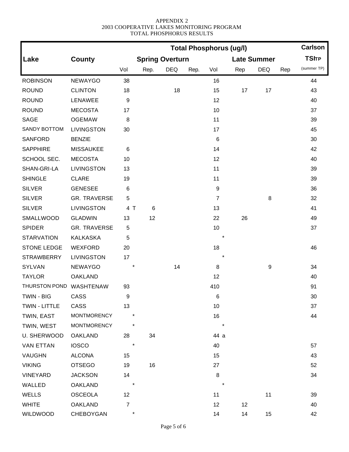|                         |                     |                |                        |            |      | <b>Total Phosphorus (ug/l)</b> |     |                    |     | <b>Carlson</b> |
|-------------------------|---------------------|----------------|------------------------|------------|------|--------------------------------|-----|--------------------|-----|----------------|
| Lake                    | <b>County</b>       |                | <b>Spring Overturn</b> |            |      |                                |     | <b>Late Summer</b> |     | <b>TSITP</b>   |
|                         |                     | Vol            | Rep.                   | <b>DEQ</b> | Rep. | Vol                            | Rep | <b>DEQ</b>         | Rep | (summer TP)    |
| <b>ROBINSON</b>         | <b>NEWAYGO</b>      | 38             |                        |            |      | 16                             |     |                    |     | 44             |
| <b>ROUND</b>            | <b>CLINTON</b>      | 18             |                        | 18         |      | 15                             | 17  | 17                 |     | 43             |
| <b>ROUND</b>            | LENAWEE             | 9              |                        |            |      | 12                             |     |                    |     | 40             |
| <b>ROUND</b>            | <b>MECOSTA</b>      | 17             |                        |            |      | 10                             |     |                    |     | 37             |
| <b>SAGE</b>             | <b>OGEMAW</b>       | $\,8\,$        |                        |            |      | 11                             |     |                    |     | 39             |
| SANDY BOTTOM            | <b>LIVINGSTON</b>   | 30             |                        |            |      | 17                             |     |                    |     | 45             |
| <b>SANFORD</b>          | <b>BENZIE</b>       |                |                        |            |      | $\,6\,$                        |     |                    |     | 30             |
| <b>SAPPHIRE</b>         | <b>MISSAUKEE</b>    | 6              |                        |            |      | 14                             |     |                    |     | 42             |
| SCHOOL SEC.             | <b>MECOSTA</b>      | 10             |                        |            |      | 12                             |     |                    |     | 40             |
| SHAN-GRI-LA             | <b>LIVINGSTON</b>   | 13             |                        |            |      | 11                             |     |                    |     | 39             |
| <b>SHINGLE</b>          | <b>CLARE</b>        | 19             |                        |            |      | 11                             |     |                    |     | 39             |
| <b>SILVER</b>           | <b>GENESEE</b>      | 6              |                        |            |      | $\boldsymbol{9}$               |     |                    |     | 36             |
| <b>SILVER</b>           | <b>GR. TRAVERSE</b> | 5              |                        |            |      | $\overline{7}$                 |     | 8                  |     | 32             |
| <b>SILVER</b>           | <b>LIVINGSTON</b>   | 4 T            | 6                      |            |      | 13                             |     |                    |     | 41             |
| SMALLWOOD               | <b>GLADWIN</b>      | 13             | 12                     |            |      | 22                             | 26  |                    |     | 49             |
| <b>SPIDER</b>           | <b>GR. TRAVERSE</b> | 5              |                        |            |      | 10                             |     |                    |     | 37             |
| <b>STARVATION</b>       | <b>KALKASKA</b>     | 5              |                        |            |      | $^\ast$                        |     |                    |     |                |
| <b>STONE LEDGE</b>      | <b>WEXFORD</b>      | 20             |                        |            |      | 18                             |     |                    |     | 46             |
| <b>STRAWBERRY</b>       | <b>LIVINGSTON</b>   | 17             |                        |            |      | $\star$                        |     |                    |     |                |
| <b>SYLVAN</b>           | <b>NEWAYGO</b>      |                |                        | 14         |      | $\,8\,$                        |     | 9                  |     | 34             |
| <b>TAYLOR</b>           | <b>OAKLAND</b>      |                |                        |            |      | 12                             |     |                    |     | 40             |
| THURSTON POND WASHTENAW |                     | 93             |                        |            |      | 410                            |     |                    |     | 91             |
| TWIN - BIG              | CASS                | 9              |                        |            |      | 6                              |     |                    |     | 30             |
| TWIN - LITTLE           | CASS                | 13             |                        |            |      | 10                             |     |                    |     | 37             |
| TWIN, EAST              | <b>MONTMORENCY</b>  |                |                        |            |      | 16                             |     |                    |     | 44             |
| TWIN, WEST              | <b>MONTMORENCY</b>  | *              |                        |            |      | $\star$                        |     |                    |     |                |
| U. SHERWOOD             | <b>OAKLAND</b>      | 28             | 34                     |            |      | 44 a                           |     |                    |     |                |
| <b>VAN ETTAN</b>        | <b>IOSCO</b>        | $\star$        |                        |            |      | 40                             |     |                    |     | 57             |
| VAUGHN                  | <b>ALCONA</b>       | 15             |                        |            |      | 15                             |     |                    |     | 43             |
| <b>VIKING</b>           | <b>OTSEGO</b>       | 19             | 16                     |            |      | 27                             |     |                    |     | 52             |
| VINEYARD                | <b>JACKSON</b>      | 14             |                        |            |      | $\,8\,$                        |     |                    |     | 34             |
| WALLED                  | <b>OAKLAND</b>      | $^{\ast}$      |                        |            |      | $\star$                        |     |                    |     |                |
| <b>WELLS</b>            | OSCEOLA             | 12             |                        |            |      | 11                             |     | 11                 |     | 39             |
| <b>WHITE</b>            | <b>OAKLAND</b>      | $\overline{7}$ |                        |            |      | 12                             | 12  |                    |     | 40             |
| WILDWOOD                | CHEBOYGAN           | $^{\ast}$      |                        |            |      | 14                             | 14  | 15                 |     | 42             |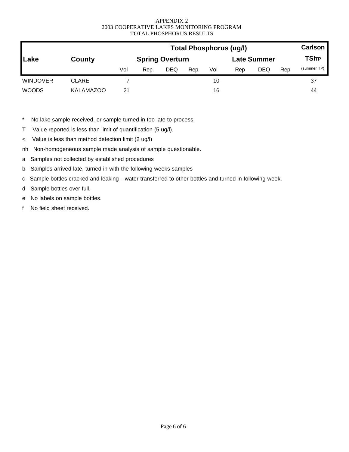|                 |                  |     |      |                        |      |     | <b>Total Phosphorus (ug/l)</b> |             |     | <b>Carlson</b> |
|-----------------|------------------|-----|------|------------------------|------|-----|--------------------------------|-------------|-----|----------------|
| Lake            | County           |     |      | <b>Spring Overturn</b> |      |     |                                | Late Summer |     | <b>TSITP</b>   |
|                 |                  | Vol | Rep. | <b>DEQ</b>             | Rep. | Vol | Rep                            | DEQ         | Rep | (summer TP)    |
| <b>WINDOVER</b> | <b>CLARE</b>     |     |      |                        |      | 10  |                                |             |     | 37             |
| <b>WOODS</b>    | <b>KALAMAZOO</b> | 21  |      |                        |      | 16  |                                |             |     | 44             |

\* No lake sample received, or sample turned in too late to process.

T Value reported is less than limit of quantification (5 ug/l).

< Value is less than method detection limit (2 ug/l)

nh Non-homogeneous sample made analysis of sample questionable.

a Samples not collected by established procedures

b Samples arrived late, turned in with the following weeks samples

c Sample bottles cracked and leaking - water transferred to other bottles and turned in following week.

d Sample bottles over full.

e No labels on sample bottles.

f No field sheet received.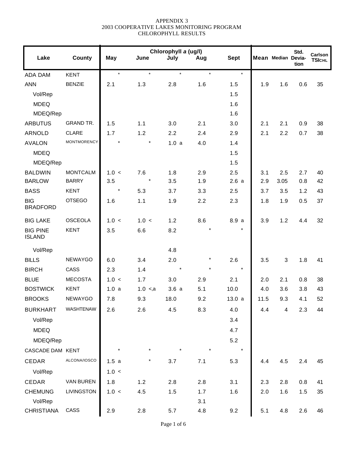|                                  |                    |         |             | Chlorophyll a (ug/l) |            |             |      |                    | Std. | Carlson       |
|----------------------------------|--------------------|---------|-------------|----------------------|------------|-------------|------|--------------------|------|---------------|
| Lake                             | <b>County</b>      | May     | June        | July                 | Aug        | <b>Sept</b> |      | Mean Median Devia- | tion | <b>TSICHL</b> |
| <b>ADA DAM</b>                   | <b>KENT</b>        | $\star$ | $\star$     | $\star$              | $\star$    | $\star$     |      |                    |      |               |
| <b>ANN</b>                       | <b>BENZIE</b>      | 2.1     | 1.3         | 2.8                  | 1.6        | 1.5         | 1.9  | 1.6                | 0.6  | 35            |
| Vol/Rep                          |                    |         |             |                      |            | 1.5         |      |                    |      |               |
| <b>MDEQ</b>                      |                    |         |             |                      |            | 1.6         |      |                    |      |               |
| MDEQ/Rep                         |                    |         |             |                      |            | 1.6         |      |                    |      |               |
| <b>ARBUTUS</b>                   | <b>GRAND TR.</b>   | 1.5     | 1.1         | 3.0                  | 2.1        | 3.0         | 2.1  | 2.1                | 0.9  | 38            |
| <b>ARNOLD</b>                    | <b>CLARE</b>       | 1.7     | 1.2         | 2.2                  | 2.4        | 2.9         | 2.1  | 2.2                | 0.7  | 38            |
| <b>AVALON</b>                    | <b>MONTMORENCY</b> |         | $\star$     | 1.0a                 | 4.0        | 1.4         |      |                    |      |               |
| <b>MDEQ</b>                      |                    |         |             |                      |            | 1.5         |      |                    |      |               |
| MDEQ/Rep                         |                    |         |             |                      |            | 1.5         |      |                    |      |               |
| <b>BALDWIN</b>                   | <b>MONTCALM</b>    | 1.0 <   | 7.6         | 1.8                  | 2.9        | 2.5         | 3.1  | 2.5                | 2.7  | 40            |
| <b>BARLOW</b>                    | <b>BARRY</b>       | 3.5     | $\star$     | 3.5                  | 1.9        | 2.6a        | 2.9  | 3.05               | 0.8  | 42            |
| <b>BASS</b>                      | <b>KENT</b>        | $\star$ | 5.3         | 3.7                  | 3.3        | 2.5         | 3.7  | 3.5                | 1.2  | 43            |
| <b>BIG</b><br><b>BRADFORD</b>    | <b>OTSEGO</b>      | 1.6     | 1.1         | 1.9                  | 2.2        | 2.3         | 1.8  | 1.9                | 0.5  | 37            |
| <b>BIG LAKE</b>                  | <b>OSCEOLA</b>     | 1.0 <   | 1.0 <       | 1.2                  | 8.6        | 8.9 a       | 3.9  | 1.2                | 4.4  | 32            |
| <b>BIG PINE</b><br><b>ISLAND</b> | <b>KENT</b>        | 3.5     | 6.6         | 8.2                  | $\star$    | $\star$     |      |                    |      |               |
| Vol/Rep                          |                    |         |             | 4.8                  |            |             |      |                    |      |               |
| <b>BILLS</b>                     | <b>NEWAYGO</b>     | 6.0     | 3.4         | 2.0                  | $^{\star}$ | 2.6         | 3.5  | 3                  | 1.8  | 41            |
| <b>BIRCH</b>                     | CASS               | 2.3     | 1.4         |                      |            | $\star$     |      |                    |      |               |
| <b>BLUE</b>                      | <b>MECOSTA</b>     | 1.0 <   | 1.7         | 3.0                  | 2.9        | 2.1         | 2.0  | 2.1                | 0.8  | 38            |
| <b>BOSTWICK</b>                  | <b>KENT</b>        | 1.0a    | $1.0 \le a$ | 3.6a                 | 5.1        | 10.0        | 4.0  | 3.6                | 3.8  | 43            |
| <b>BROOKS</b>                    | <b>NEWAYGO</b>     | 7.8     | 9.3         | 18.0                 | 9.2        | 13.0a       | 11.5 | 9.3                | 4.1  | 52            |
| <b>BURKHART</b>                  | WASHTENAW          | 2.6     | 2.6         | 4.5                  | 8.3        | 4.0         | 4.4  | 4                  | 2.3  | 44            |
| Vol/Rep                          |                    |         |             |                      |            | 3.4         |      |                    |      |               |
| <b>MDEQ</b>                      |                    |         |             |                      |            | 4.7         |      |                    |      |               |
| MDEQ/Rep                         |                    |         |             |                      |            | 5.2         |      |                    |      |               |
| CASCADE DAM KENT                 |                    | $\star$ |             |                      |            | $\star$     |      |                    |      |               |
| CEDAR                            | ALCONA/IOSCO       | 1.5a    |             | 3.7                  | 7.1        | 5.3         | 4.4  | 4.5                | 2.4  | 45            |
| Vol/Rep                          |                    | 1.0 <   |             |                      |            |             |      |                    |      |               |
| CEDAR                            | VAN BUREN          | 1.8     | 1.2         | 2.8                  | 2.8        | 3.1         | 2.3  | 2.8                | 0.8  | 41            |
| <b>CHEMUNG</b>                   | LIVINGSTON         | 1.0 <   | 4.5         | 1.5                  | 1.7        | 1.6         | 2.0  | 1.6                | 1.5  | 35            |
| Vol/Rep                          |                    |         |             |                      | 3.1        |             |      |                    |      |               |
| <b>CHRISTIANA</b>                | CASS               | 2.9     | 2.8         | 5.7                  | 4.8        | 9.2         | 5.1  | 4.8                | 2.6  | 46            |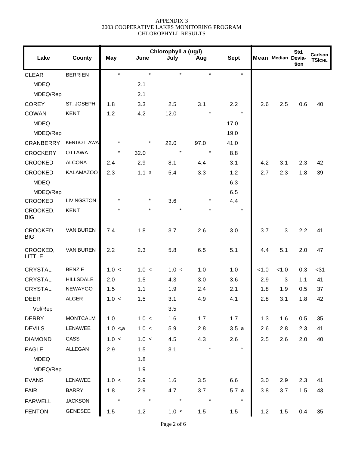|                           |                   |             |         | Chlorophyll a (ug/l) |         |             |       |                    | Std. | Carlson       |
|---------------------------|-------------------|-------------|---------|----------------------|---------|-------------|-------|--------------------|------|---------------|
| Lake                      | <b>County</b>     | May         | June    | July                 | Aug     | <b>Sept</b> |       | Mean Median Devia- | tion | <b>TSICHL</b> |
| <b>CLEAR</b>              | <b>BERRIEN</b>    | $\star$     | $\star$ | $\star$              | $\star$ | $\star$     |       |                    |      |               |
| <b>MDEQ</b>               |                   |             | 2.1     |                      |         |             |       |                    |      |               |
| MDEQ/Rep                  |                   |             | 2.1     |                      |         |             |       |                    |      |               |
| <b>COREY</b>              | ST. JOSEPH        | 1.8         | 3.3     | 2.5                  | 3.1     | 2.2         | 2.6   | 2.5                | 0.6  | 40            |
| COWAN                     | <b>KENT</b>       | 1.2         | 4.2     | 12.0                 |         | $\star$     |       |                    |      |               |
| <b>MDEQ</b>               |                   |             |         |                      |         | 17.0        |       |                    |      |               |
| MDEQ/Rep                  |                   |             |         |                      |         | 19.0        |       |                    |      |               |
| <b>CRANBERRY</b>          | KENT/OTTAWA       |             |         | 22.0                 | 97.0    | 41.0        |       |                    |      |               |
| <b>CROCKERY</b>           | <b>OTTAWA</b>     | $^\star$    | 32.0    | $\star$              | $\star$ | 8.8         |       |                    |      |               |
| <b>CROOKED</b>            | <b>ALCONA</b>     | 2.4         | 2.9     | 8.1                  | 4.4     | 3.1         | 4.2   | 3.1                | 2.3  | 42            |
| <b>CROOKED</b>            | <b>KALAMAZOO</b>  | 2.3         | 1.1a    | 5.4                  | 3.3     | 1.2         | 2.7   | 2.3                | 1.8  | 39            |
| <b>MDEQ</b>               |                   |             |         |                      |         | 6.3         |       |                    |      |               |
| MDEQ/Rep                  |                   |             |         |                      |         | 6.5         |       |                    |      |               |
| <b>CROOKED</b>            | <b>LIVINGSTON</b> | $^\star$    | $\star$ | 3.6                  | $\star$ | 4.4         |       |                    |      |               |
| CROOKED,<br><b>BIG</b>    | <b>KENT</b>       |             |         |                      |         | $\star$     |       |                    |      |               |
| CROOKED,<br><b>BIG</b>    | VAN BUREN         | 7.4         | 1.8     | 3.7                  | 2.6     | 3.0         | 3.7   | 3                  | 2.2  | 41            |
| CROOKED,<br><b>LITTLE</b> | <b>VAN BUREN</b>  | 2.2         | 2.3     | 5.8                  | 6.5     | 5.1         | 4.4   | 5.1                | 2.0  | 47            |
| <b>CRYSTAL</b>            | <b>BENZIE</b>     | 1.0 <       | 1.0 <   | 1.0 <                | 1.0     | 1.0         | < 1.0 | < 1.0              | 0.3  | $31$          |
| <b>CRYSTAL</b>            | <b>HILLSDALE</b>  | 2.0         | 1.5     | 4.3                  | 3.0     | 3.6         | 2.9   | $\sqrt{3}$         | 1.1  | 41            |
| <b>CRYSTAL</b>            | <b>NEWAYGO</b>    | 1.5         | 1.1     | 1.9                  | 2.4     | 2.1         | 1.8   | 1.9                | 0.5  | 37            |
| <b>DEER</b>               | <b>ALGER</b>      | 1.0 <       | 1.5     | 3.1                  | 4.9     | 4.1         | 2.8   | 3.1                | 1.8  | 42            |
| Vol/Rep                   |                   |             |         | 3.5                  |         |             |       |                    |      |               |
| <b>DERBY</b>              | <b>MONTCALM</b>   | 1.0         | 1.0 <   | 1.6                  | 1.7     | 1.7         | 1.3   | 1.6                | 0.5  | 35            |
| <b>DEVILS</b>             | LENAWEE           | $1.0 \le a$ | 1.0 <   | 5.9                  | 2.8     | 3.5a        | 2.6   | 2.8                | 2.3  | 41            |
| <b>DIAMOND</b>            | CASS              | 1.0 <       | 1.0 <   | 4.5                  | 4.3     | 2.6         | 2.5   | 2.6                | 2.0  | 40            |
| <b>EAGLE</b>              | <b>ALLEGAN</b>    | 2.9         | 1.5     | 3.1                  |         | $\star$     |       |                    |      |               |
| <b>MDEQ</b>               |                   |             | 1.8     |                      |         |             |       |                    |      |               |
| MDEQ/Rep                  |                   |             | 1.9     |                      |         |             |       |                    |      |               |
| <b>EVANS</b>              | LENAWEE           | 1.0 <       | 2.9     | 1.6                  | 3.5     | 6.6         | 3.0   | 2.9                | 2.3  | 41            |
| <b>FAIR</b>               | <b>BARRY</b>      | 1.8         | 2.9     | 4.7                  | 3.7     | 5.7a        | 3.8   | 3.7                | 1.5  | 43            |
| <b>FARWELL</b>            | <b>JACKSON</b>    | $\star$     | $\star$ | $\star$              | $\star$ | $\star$     |       |                    |      |               |
| <b>FENTON</b>             | GENESEE           | 1.5         | 1.2     | 1.0 <                | 1.5     | 1.5         | 1.2   | 1.5                | 0.4  | 35            |
|                           |                   |             |         |                      |         |             |       |                    |      |               |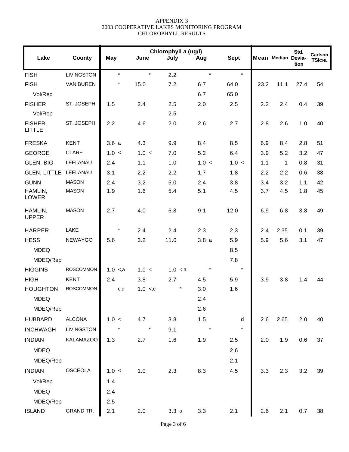|                       |             |              |             |         |                      |      |              | Std. | Carlson            |
|-----------------------|-------------|--------------|-------------|---------|----------------------|------|--------------|------|--------------------|
| <b>County</b>         | May         | June         | July        | Aug     | <b>Sept</b>          |      |              | tion | <b>TSICHL</b>      |
| LIVINGSTON            | $\star$     | $\star$      | 2.2         | $\star$ | $\star$              |      |              |      |                    |
| <b>VAN BUREN</b>      | $\star$     | 15.0         | 7.2         | 6.7     | 64.0                 | 23.2 | 11.1         | 27.4 | 54                 |
|                       |             |              |             | 6.7     | 65.0                 |      |              |      |                    |
| ST. JOSEPH            | 1.5         | 2.4          | 2.5         | 2.0     | 2.5                  |      | 2.4          | 0.4  | 39                 |
|                       |             |              | 2.5         |         |                      |      |              |      |                    |
| ST. JOSEPH            | 2.2         | 4.6          | 2.0         | 2.6     | 2.7                  | 2.8  | 2.6          | 1.0  | 40                 |
| <b>KENT</b>           | 3.6a        | 4.3          | 9.9         | 8.4     | 8.5                  | 6.9  | 8.4          | 2.8  | 51                 |
| <b>CLARE</b>          | 1.0 <       | 1.0 <        | 7.0         | 5.2     | 6.4                  | 3.9  | 5.2          | 3.2  | 47                 |
| LEELANAU              | 2.4         | 1.1          | 1.0         | 1.0 <   | 1.0 <                | 1.1  | $\mathbf{1}$ | 0.8  | 31                 |
| GLEN, LITTLE LEELANAU | 3.1         | 2.2          | 2.2         | 1.7     | 1.8                  | 2.2  | 2.2          | 0.6  | 38                 |
| <b>MASON</b>          | 2.4         | 3.2          | 5.0         | 2.4     | 3.8                  | 3.4  | 3.2          | 1.1  | 42                 |
| <b>MASON</b>          | 1.9         | 1.6          | 5.4         | 5.1     | 4.5                  | 3.7  | 4.5          | 1.8  | 45                 |
| <b>MASON</b>          | 2.7         | 4.0          | 6.8         | 9.1     | 12.0                 | 6.9  | 6.8          | 3.8  | 49                 |
| LAKE                  | $\star$     | 2.4          | 2.4         | 2.3     | 2.3                  | 2.4  | 2.35         | 0.1  | 39                 |
| <b>NEWAYGO</b>        | 5.6         | 3.2          | 11.0        | 3.8a    | 5.9                  | 5.9  | 5.6          | 3.1  | 47                 |
|                       |             |              |             |         | 8.5                  |      |              |      |                    |
|                       |             |              |             |         | 7.8                  |      |              |      |                    |
| <b>ROSCOMMON</b>      | $1.0 \le a$ | 1.0 <        | $1.0 \le a$ | $\star$ | $\star$              |      |              |      |                    |
| <b>KENT</b>           | 2.4         | 3.8          | 2.7         | 4.5     | 5.9                  | 3.9  | 3.8          | 1.4  | 44                 |
| <b>ROSCOMMON</b>      | c,d         | $1.0 \leq c$ | $\ast$      | 3.0     | 1.6                  |      |              |      |                    |
|                       |             |              |             | 2.4     |                      |      |              |      |                    |
|                       |             |              |             | 2.6     |                      |      |              |      |                    |
| <b>ALCONA</b>         | 1.0 <       | 4.7          | 3.8         | 1.5     | d                    | 2.6  | 2.65         | 2.0  | 40                 |
| LIVINGSTON            | $\star$     | $\star$      | 9.1         | $\star$ | $\star$              |      |              |      |                    |
| <b>KALAMAZOO</b>      | 1.3         | 2.7          | 1.6         | 1.9     | 2.5                  | 2.0  | 1.9          | 0.6  | 37                 |
|                       |             |              |             |         | 2.6                  |      |              |      |                    |
|                       |             |              |             |         | 2.1                  |      |              |      |                    |
| OSCEOLA               | 1.0 <       | 1.0          | 2.3         | 8.3     | 4.5                  | 3.3  | 2.3          | 3.2  | 39                 |
|                       | 1.4         |              |             |         |                      |      |              |      |                    |
|                       | 2.4         |              |             |         |                      |      |              |      |                    |
|                       |             |              |             |         |                      |      |              |      |                    |
| <b>GRAND TR.</b>      | 2.1         | 2.0          | 3.3a        | 3.3     | 2.1                  | 2.6  | 2.1          | 0.7  | 38                 |
|                       |             | 2.5          |             |         | Chlorophyll a (ug/l) |      |              | 2.2  | Mean Median Devia- |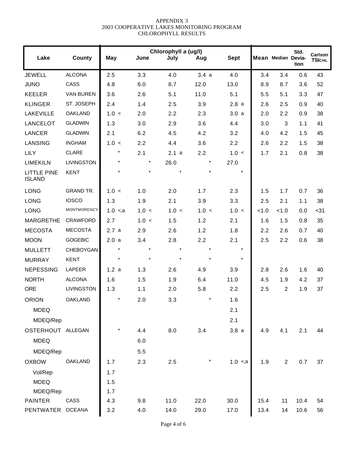| Lake                                | County            | <b>May</b>  | June    | Chlorophyll a (ug/l)<br>July | Aug     | <b>Sept</b> |       | Mean Median Devia- | Std.<br>tion | Carlson<br><b>TSICHL</b> |
|-------------------------------------|-------------------|-------------|---------|------------------------------|---------|-------------|-------|--------------------|--------------|--------------------------|
| <b>JEWELL</b>                       | <b>ALCONA</b>     | 2.5         | 3.3     | 4.0                          | 3.4a    | 4.0         | 3.4   | 3.4                | 0.6          | 43                       |
| <b>JUNO</b>                         | CASS              | 4.8         | 6.0     | 8.7                          | 12.0    | 13.0        | 8.9   | 8.7                | 3.6          | 52                       |
| <b>KEELER</b>                       | <b>VAN BUREN</b>  | 3.6         | 2.6     | 5.1                          | 11.0    | 5.1         | 5.5   | 5.1                | 3.3          | 47                       |
| <b>KLINGER</b>                      | ST. JOSEPH        | 2.4         | 1.4     | 2.5                          | 3.9     | 2.8a        | 2.6   | 2.5                | 0.9          | 40                       |
| <b>LAKEVILLE</b>                    | <b>OAKLAND</b>    | 1.0 <       | 2.0     | 2.2                          | 2.3     | 3.0a        | 2.0   | 2.2                | 0.9          | 38                       |
| <b>LANCELOT</b>                     | <b>GLADWIN</b>    | 1.3         | 3.0     | 2.9                          | 3.6     | 4.4         | 3.0   | $\sqrt{3}$         | 1.1          | 41                       |
| <b>LANCER</b>                       | <b>GLADWIN</b>    | 2.1         | 6.2     | 4.5                          | 4.2     | 3.2         | 4.0   | 4.2                | 1.5          | 45                       |
| <b>LANSING</b>                      | <b>INGHAM</b>     | 1.0 <       | 2.2     | 4.4                          | 3.6     | 2.2         | 2.6   | 2.2                | 1.5          | 38                       |
| <b>LILY</b>                         | <b>CLARE</b>      | $\star$     | 2.1     | 2.1a                         | 2.2     | 1.0 <       | 1.7   | 2.1                | 0.8          | 38                       |
| <b>LIMEKILN</b>                     | <b>LIVINGSTON</b> | $\star$     | $\star$ | 26.0                         | $\star$ | 27.0        |       |                    |              |                          |
| <b>LITTLE PINE</b><br><b>ISLAND</b> | <b>KENT</b>       | $\star$     | $\star$ | $\star$                      |         | $\star$     |       |                    |              |                          |
| <b>LONG</b>                         | <b>GRAND TR.</b>  | 1.0 <       | 1.0     | 2.0                          | 1.7     | 2.3         | 1.5   | 1.7                | 0.7          | 36                       |
| <b>LONG</b>                         | <b>IOSCO</b>      | 1.3         | 1.9     | 2.1                          | 3.9     | 3.3         | 2.5   | 2.1                | 1.1          | 38                       |
| <b>LONG</b>                         | MONTMORENCY       | $1.0 \le a$ | 1.0 <   | 1.0 <                        | 1.0 <   | 1.0 <       | < 1.0 | < 1.0              | 0.0          | $31$                     |
| <b>MARGRETHE</b>                    | <b>CRAWFORD</b>   | 2.7         | 1.0 <   | 1.5                          | 1.2     | 2.1         | 1.6   | 1.5                | 0.8          | 35                       |
| <b>MECOSTA</b>                      | <b>MECOSTA</b>    | 2.7a        | 2.9     | 2.6                          | 1.2     | 1.8         | 2.2   | 2.6                | 0.7          | 40                       |
| <b>MOON</b>                         | <b>GOGEBIC</b>    | 2.0a        | 3.4     | 2.8                          | 2.2     | 2.1         | 2.5   | 2.2                | 0.6          | 38                       |
| <b>MULLETT</b>                      | <b>CHEBOYGAN</b>  | $\star$     | $\star$ | $\star$                      | $\star$ | $\star$     |       |                    |              |                          |
| <b>MURRAY</b>                       | <b>KENT</b>       | $\star$     | $\star$ |                              |         | $\star$     |       |                    |              |                          |
| <b>NEPESSING</b>                    | LAPEER            | 1.2a        | 1.3     | 2.6                          | 4.9     | 3.9         | 2.8   | 2.6                | 1.6          | 40                       |
| <b>NORTH</b>                        | <b>ALCONA</b>     | 1.6         | 1.5     | 1.9                          | 6.4     | 11.0        | 4.5   | 1.9                | 4.2          | 37                       |
| <b>ORE</b>                          | <b>LIVINGSTON</b> | 1.3         | 1.1     | 2.0                          | 5.8     | 2.2         | 2.5   | $\overline{2}$     | 1.9          | 37                       |
| <b>ORION</b>                        | OAKLAND           |             | 2.0     | 3.3                          | $\star$ | 1.6         |       |                    |              |                          |
| <b>MDEQ</b>                         |                   |             |         |                              |         | 2.1         |       |                    |              |                          |
| MDEQ/Rep                            |                   |             |         |                              |         | 2.1         |       |                    |              |                          |
| OSTERHOUT ALLEGAN                   |                   |             | 4.4     | 8.0                          | 3.4     | 3.8a        | 4.9   | 4.1                | 2.1          | 44                       |
| <b>MDEQ</b>                         |                   |             | 6.0     |                              |         |             |       |                    |              |                          |
| MDEQ/Rep                            |                   |             | 5.5     |                              |         |             |       |                    |              |                          |
| <b>OXBOW</b>                        | <b>OAKLAND</b>    | 1.7         | 2.3     | 2.5                          |         | $1.0 \le a$ | 1.9   | 2                  | 0.7          | 37                       |
| Vol/Rep                             |                   | 1.7         |         |                              |         |             |       |                    |              |                          |
| <b>MDEQ</b>                         |                   | 1.5         |         |                              |         |             |       |                    |              |                          |
| MDEQ/Rep                            |                   | 1.7         |         |                              |         |             |       |                    |              |                          |
| <b>PAINTER</b>                      | CASS              | 4.3         | 9.8     | 11.0                         | 22.0    | 30.0        | 15.4  | 11                 | 10.4         | 54                       |
| PENTWATER                           | <b>OCEANA</b>     | 3.2         | 4.0     | 14.0                         | 29.0    | 17.0        | 13.4  | 14                 | 10.6         | 56                       |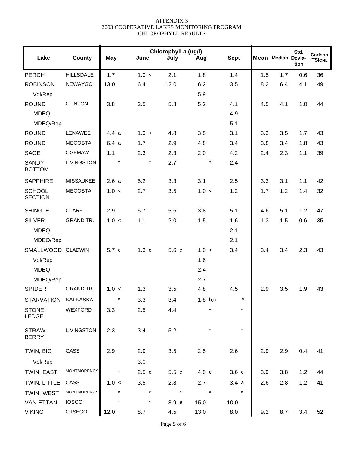| Lake                            | <b>County</b>     | <b>May</b> | June    | Chlorophyll a (ug/l)<br>July | Aug     | <b>Sept</b> |     | Mean Median Devia- | Std.<br>tion | Carlson<br><b>TSICHL</b> |
|---------------------------------|-------------------|------------|---------|------------------------------|---------|-------------|-----|--------------------|--------------|--------------------------|
| <b>PERCH</b>                    | <b>HILLSDALE</b>  | 1.7        | 1.0 <   | 2.1                          | 1.8     | 1.4         | 1.5 | 1.7                | 0.6          | 36                       |
| <b>ROBINSON</b>                 | <b>NEWAYGO</b>    | 13.0       | 6.4     | 12.0                         | 6.2     | 3.5         | 8.2 | 6.4                | 4.1          | 49                       |
| Vol/Rep                         |                   |            |         |                              | 5.9     |             |     |                    |              |                          |
| <b>ROUND</b>                    | <b>CLINTON</b>    | 3.8        | 3.5     | 5.8                          | 5.2     | 4.1         | 4.5 | 4.1                | 1.0          | 44                       |
| <b>MDEQ</b>                     |                   |            |         |                              |         | 4.9         |     |                    |              |                          |
| MDEQ/Rep                        |                   |            |         |                              |         | 5.1         |     |                    |              |                          |
| <b>ROUND</b>                    | <b>LENAWEE</b>    | 4.4a       | 1.0 <   | 4.8                          | 3.5     | 3.1         | 3.3 | 3.5                | 1.7          | 43                       |
| <b>ROUND</b>                    | <b>MECOSTA</b>    | 6.4a       | 1.7     | 2.9                          | 4.8     | 3.4         | 3.8 | 3.4                | 1.8          | 43                       |
| <b>SAGE</b>                     | <b>OGEMAW</b>     | 1.1        | 2.3     | 2.3                          | 2.0     | 4.2         | 2.4 | 2.3                | 1.1          | 39                       |
| <b>SANDY</b><br><b>BOTTOM</b>   | <b>LIVINGSTON</b> | $\star$    | $\star$ | 2.7                          | $\star$ | 2.4         |     |                    |              |                          |
| <b>SAPPHIRE</b>                 | <b>MISSAUKEE</b>  | 2.6a       | 5.2     | 3.3                          | 3.1     | 2.5         | 3.3 | 3.1                | 1.1          | 42                       |
| <b>SCHOOL</b><br><b>SECTION</b> | <b>MECOSTA</b>    | 1.0 <      | 2.7     | 3.5                          | 1.0 <   | 1.2         | 1.7 | 1.2                | 1.4          | 32                       |
| <b>SHINGLE</b>                  | <b>CLARE</b>      | 2.9        | 5.7     | 5.6                          | 3.8     | 5.1         | 4.6 | 5.1                | 1.2          | 47                       |
| <b>SILVER</b>                   | <b>GRAND TR.</b>  | 1.0 <      | 1.1     | 2.0                          | 1.5     | 1.6         | 1.3 | 1.5                | 0.6          | 35                       |
| <b>MDEQ</b>                     |                   |            |         |                              |         | 2.1         |     |                    |              |                          |
| MDEQ/Rep                        |                   |            |         |                              |         | 2.1         |     |                    |              |                          |
| SMALLWOOD GLADWIN               |                   | 5.7c       | 1.3c    | 5.6c                         | 1.0 <   | 3.4         | 3.4 | 3.4                | 2.3          | 43                       |
| Vol/Rep                         |                   |            |         |                              | 1.6     |             |     |                    |              |                          |
| <b>MDEQ</b>                     |                   |            |         |                              | 2.4     |             |     |                    |              |                          |
| MDEQ/Rep                        |                   |            |         |                              | 2.7     |             |     |                    |              |                          |
| <b>SPIDER</b>                   | <b>GRAND TR.</b>  | 1.0 <      | 1.3     | 3.5                          | 4.8     | 4.5         | 2.9 | 3.5                | 1.9          | 43                       |
| <b>STARVATION</b>               | KALKASKA          | $\star$    | 3.3     | 3.4                          | 1.8 b.c | $^\star$    |     |                    |              |                          |
| <b>STONE</b><br>LEDGE           | WEXFORD           | 3.3        | 2.5     | 4.4                          |         | $\star$     |     |                    |              |                          |
| STRAW-<br><b>BERRY</b>          | LIVINGSTON        | 2.3        | 3.4     | 5.2                          |         | $\star$     |     |                    |              |                          |
| TWIN, BIG                       | CASS              | 2.9        | 2.9     | 3.5                          | 2.5     | 2.6         | 2.9 | 2.9                | 0.4          | 41                       |
| Vol/Rep                         |                   |            | 3.0     |                              |         |             |     |                    |              |                          |
| TWIN, EAST                      | MONTMORENCY       |            | 2.5c    | 5.5c                         | 4.0 c   | 3.6c        | 3.9 | 3.8                | 1.2          | 44                       |
| TWIN, LITTLE                    | CASS              | 1.0 <      | 3.5     | 2.8                          | 2.7     | 3.4a        | 2.6 | 2.8                | 1.2          | 41                       |
| TWIN, WEST                      | MONTMORENCY       |            |         | $\star$                      | $\star$ | $\star$     |     |                    |              |                          |
| <b>VAN ETTAN</b>                | <b>IOSCO</b>      |            | $\ast$  | 8.9 a                        | 15.0    | 10.0        |     |                    |              |                          |
| <b>VIKING</b>                   | <b>OTSEGO</b>     | 12.0       | 8.7     | 4.5                          | 13.0    | 8.0         | 9.2 | 8.7                | 3.4          | 52                       |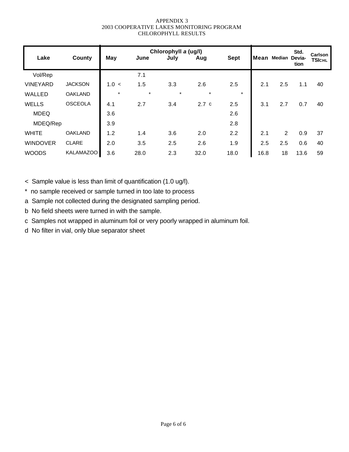| Lake            | <b>County</b>    | <b>May</b> | June    | Chlorophyll a (ug/l)<br>July | Aug     | <b>Sept</b> | Mean | Median Devia-  | Std.<br>tion | <b>Carlson</b><br><b>TSICHL</b> |
|-----------------|------------------|------------|---------|------------------------------|---------|-------------|------|----------------|--------------|---------------------------------|
| Vol/Rep         |                  |            | 7.1     |                              |         |             |      |                |              |                                 |
| <b>VINEYARD</b> | <b>JACKSON</b>   | 1.0 <      | 1.5     | 3.3                          | 2.6     | 2.5         | 2.1  | 2.5            | 1.1          | 40                              |
| WALLED          | <b>OAKLAND</b>   | $\star$    | $\star$ | $\star$                      | $\star$ | $\star$     |      |                |              |                                 |
| <b>WELLS</b>    | <b>OSCEOLA</b>   | 4.1        | 2.7     | 3.4                          | 2.7c    | 2.5         | 3.1  | 2.7            | 0.7          | 40                              |
| <b>MDEQ</b>     |                  | 3.6        |         |                              |         | 2.6         |      |                |              |                                 |
| MDEQ/Rep        |                  | 3.9        |         |                              |         | 2.8         |      |                |              |                                 |
| <b>WHITE</b>    | <b>OAKLAND</b>   | 1.2        | 1.4     | 3.6                          | 2.0     | 2.2         | 2.1  | $\overline{2}$ | 0.9          | 37                              |
| <b>WINDOVER</b> | <b>CLARE</b>     | 2.0        | 3.5     | 2.5                          | 2.6     | 1.9         | 2.5  | 2.5            | 0.6          | 40                              |
| <b>WOODS</b>    | <b>KALAMAZOO</b> | 3.6        | 28.0    | 2.3                          | 32.0    | 18.0        | 16.8 | 18             | 13.6         | 59                              |

< Sample value is less than limit of quantification (1.0 ug/l).

\* no sample received or sample turned in too late to process

a Sample not collected during the designated sampling period.

b No field sheets were turned in with the sample.

c Samples not wrapped in aluminum foil or very poorly wrapped in aluminum foil.

d No filter in vial, only blue separator sheet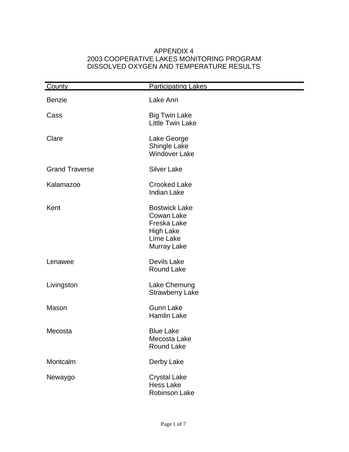#### APPENDIX 4 2003 COOPERATIVE LAKES MONITORING PROGRAM DISSOLVED OXYGEN AND TEMPERATURE RESULTS

| County                | <b>Participating Lakes</b>                                                                               |
|-----------------------|----------------------------------------------------------------------------------------------------------|
| <b>Benzie</b>         | Lake Ann                                                                                                 |
| Cass                  | <b>Big Twin Lake</b><br>Little Twin Lake                                                                 |
| Clare                 | Lake George<br><b>Shingle Lake</b><br><b>Windover Lake</b>                                               |
| <b>Grand Traverse</b> | <b>Silver Lake</b>                                                                                       |
| Kalamazoo             | <b>Crooked Lake</b><br><b>Indian Lake</b>                                                                |
| Kent                  | <b>Bostwick Lake</b><br><b>Cowan Lake</b><br>Freska Lake<br><b>High Lake</b><br>Lime Lake<br>Murray Lake |
| Lenawee               | <b>Devils Lake</b><br><b>Round Lake</b>                                                                  |
| Livingston            | Lake Chemung<br><b>Strawberry Lake</b>                                                                   |
| Mason                 | <b>Gunn Lake</b><br><b>Hamlin Lake</b>                                                                   |
| Mecosta               | <b>Blue Lake</b><br>Mecosta Lake<br><b>Round Lake</b>                                                    |
| Montcalm              | Derby Lake                                                                                               |
| Newaygo               | <b>Crystal Lake</b><br><b>Hess Lake</b><br><b>Robinson Lake</b>                                          |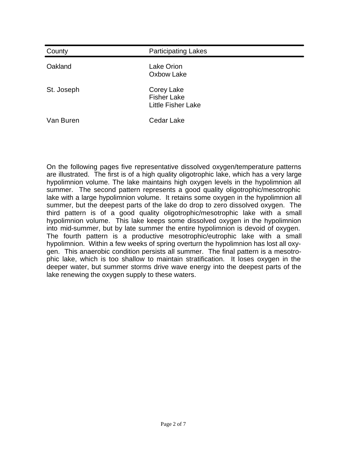| County     | <b>Participating Lakes</b>                                           |
|------------|----------------------------------------------------------------------|
| Oakland    | <b>Lake Orion</b><br>Oxbow Lake                                      |
| St. Joseph | <b>Corey Lake</b><br><b>Fisher Lake</b><br><b>Little Fisher Lake</b> |
| Van Buren  | Cedar Lake                                                           |

On the following pages five representative dissolved oxygen/temperature patterns are illustrated. The first is of a high quality oligotrophic lake, which has a very large hypolimnion volume. The lake maintains high oxygen levels in the hypolimnion all summer. The second pattern represents a good quality oligotrophic/mesotrophic lake with a large hypolimnion volume. It retains some oxygen in the hypolimnion all summer, but the deepest parts of the lake do drop to zero dissolved oxygen. The third pattern is of a good quality oligotrophic/mesotrophic lake with a small hypolimnion volume. This lake keeps some dissolved oxygen in the hypolimnion into mid-summer, but by late summer the entire hypolimnion is devoid of oxygen. The fourth pattern is a productive mesotrophic/eutrophic lake with a small hypolimnion. Within a few weeks of spring overturn the hypolimnion has lost all oxygen. This anaerobic condition persists all summer. The final pattern is a mesotrophic lake, which is too shallow to maintain stratification. It loses oxygen in the deeper water, but summer storms drive wave energy into the deepest parts of the lake renewing the oxygen supply to these waters.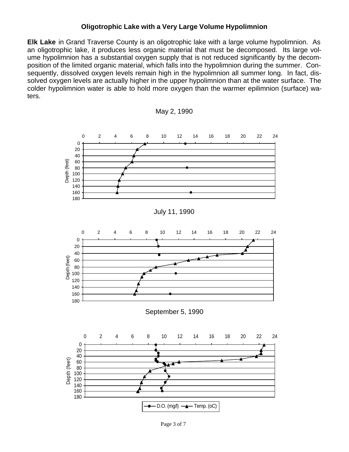#### **Oligotrophic Lake with a Very Large Volume Hypolimnion**

**Elk Lake** in Grand Traverse County is an oligotrophic lake with a large volume hypolimnion. As an oligotrophic lake, it produces less organic material that must be decomposed. Its large volume hypolimnion has a substantial oxygen supply that is not reduced significantly by the decomposition of the limited organic material, which falls into the hypolimnion during the summer. Consequently, dissolved oxygen levels remain high in the hypolimnion all summer long. In fact, dissolved oxygen levels are actually higher in the upper hypolimnion than at the water surface. The colder hypolimnion water is able to hold more oxygen than the warmer epilimnion (surface) waters.



Page 3 of 7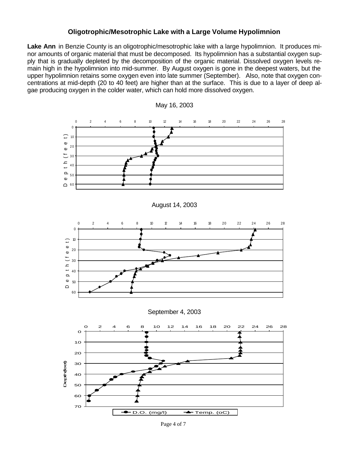#### **Oligotrophic/Mesotrophic Lake with a Large Volume Hypolimnion**

Lake Ann in Benzie County is an oligotrophic/mesotrophic lake with a large hypolimnion. It produces minor amounts of organic material that must be decomposed. Its hypolimnion has a substantial oxygen supply that is gradually depleted by the decomposition of the organic material. Dissolved oxygen levels remain high in the hypolimnion into mid-summer. By August oxygen is gone in the deepest waters, but the upper hypolimnion retains some oxygen even into late summer (September). Also, note that oxygen concentrations at mid-depth (20 to 40 feet) are higher than at the surface. This is due to a layer of deep algae producing oxygen in the colder water, which can hold more dissolved oxygen.





Page 4 of 7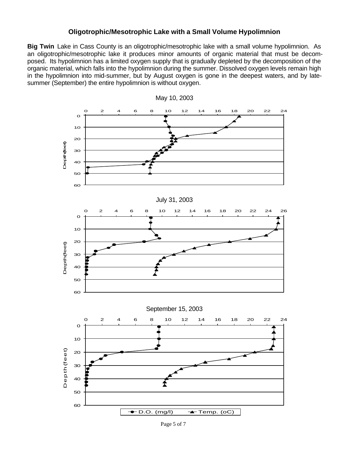#### **Oligotrophic/Mesotrophic Lake with a Small Volume Hypolimnion**

**Big Twin** Lake in Cass County is an oligotrophic/mesotrophic lake with a small volume hypolimnion. As an oligotrophic/mesotrophic lake it produces minor amounts of organic material that must be decomposed. Its hypolimnion has a limited oxygen supply that is gradually depleted by the decomposition of the organic material, which falls into the hypolimnion during the summer. Dissolved oxygen levels remain high in the hypolimnion into mid-summer, but by August oxygen is gone in the deepest waters, and by latesummer (September) the entire hypolimnion is without oxygen.



May 10, 2003

Page 5 of 7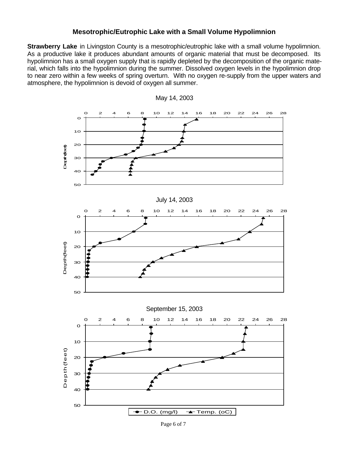#### **Mesotrophic/Eutrophic Lake with a Small Volume Hypolimnion**

**Strawberry Lake** in Livingston County is a mesotrophic/eutrophic lake with a small volume hypolimnion. As a productive lake it produces abundant amounts of organic material that must be decomposed. Its hypolimnion has a small oxygen supply that is rapidly depleted by the decomposition of the organic material, which falls into the hypolimnion during the summer. Dissolved oxygen levels in the hypolimnion drop to near zero within a few weeks of spring overturn. With no oxygen re-supply from the upper waters and atmosphere, the hypolimnion is devoid of oxygen all summer.



May 14, 2003

Page 6 of 7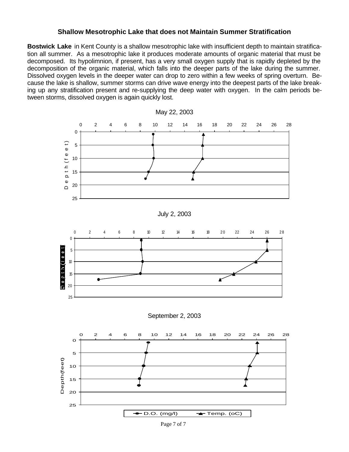#### **Shallow Mesotrophic Lake that does not Maintain Summer Stratification**

**Bostwick Lake** in Kent County is a shallow mesotrophic lake with insufficient depth to maintain stratification all summer. As a mesotrophic lake it produces moderate amounts of organic material that must be decomposed. Its hypolimnion, if present, has a very small oxygen supply that is rapidly depleted by the decomposition of the organic material, which falls into the deeper parts of the lake during the summer. Dissolved oxygen levels in the deeper water can drop to zero within a few weeks of spring overturn. Because the lake is shallow, summer storms can drive wave energy into the deepest parts of the lake breaking up any stratification present and re-supplying the deep water with oxygen. In the calm periods between storms, dissolved oxygen is again quickly lost.



Page 7 of 7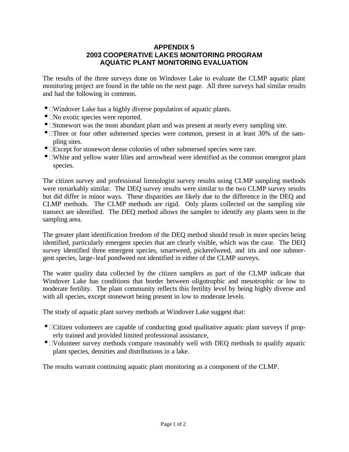#### **APPENDIX 5 2003 COOPERATIVE LAKES MONITORING PROGRAM AQUATIC PLANT MONITORING EVALUATION**

The results of the three surveys done on Windover Lake to evaluate the CLMP aquatic plant monitoring project are found in the table on the next page. All three surveys had similar results and had the following in common.

- Windover Lake has a highly diverse population of aquatic plants.
- No exotic species were reported.
- Stonewort was the most abundant plant and was present at nearly every sampling site.
- Three or four other submersed species were common, present in at least 30% of the sampling sites.
- Except for stonewort dense colonies of other submersed species were rare.
- White and yellow water lilies and arrowhead were identified as the common emergent plant species.

The citizen survey and professional limnologist survey results using CLMP sampling methods were remarkably similar. The DEQ survey results were similar to the two CLMP survey results but did differ in minor ways. These disparities are likely due to the difference in the DEQ and CLMP methods. The CLMP methods are rigid. Only plants collected on the sampling site transect are identified. The DEQ method allows the sampler to identify any plants seen in the sampling area.

The greater plant identification freedom of the DEQ method should result in more species being identified, particularly emergent species that are clearly visible, which was the case. The DEQ survey identified three emergent species, smartweed*,* pickerelweed*,* and iris and one submergent species, large-leaf pondweed not identified in either of the CLMP surveys.

The water quality data collected by the citizen samplers as part of the CLMP indicate that Windover Lake has conditions that border between oligotrophic and mesotrophic or low to moderate fertility. The plant community reflects this fertility level by being highly diverse and with all species, except stonewort being present in low to moderate levels.

The study of aquatic plant survey methods at Windover Lake suggest that:

- Citizen volunteers are capable of conducting good qualitative aquatic plant surveys if properly trained and provided limited professional assistance,
- Volunteer survey methods compare reasonably well with DEQ methods to qualify aquatic plant species, densities and distributions in a lake.

The results warrant continuing aquatic plant monitoring as a component of the CLMP.